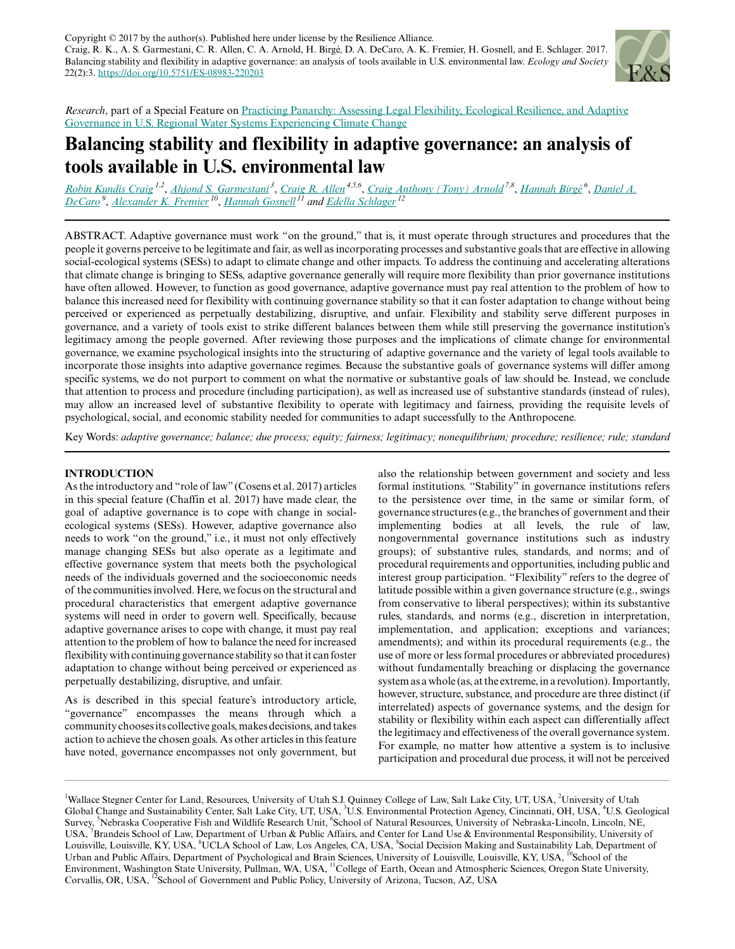Copyright  $© 2017$  by the author(s). Published here under license by the Resilience Alliance. Craig, R. K., A. S. Garmestani, C. R. Allen, C. A. Arnold, H. Birgé, D. A. DeCaro, A. K. Fremier, H. Gosnell, and E. Schlager. 2017. Balancing stability and flexibility in adaptive governance: an analysis of tools available in U.S. environmental law. *Ecology and Society* 22(2):3. <https://doi.org/10.5751/ES-08983-220203>



*Research*, part of a Special Feature on [Practicing Panarchy: Assessing Legal Flexibility, Ecological Resilience, and Adaptive](https://www.ecologyandsociety.org/viewissue.php?sf=122) [Governance in U.S. Regional Water Systems Experiencing Climate Change](https://www.ecologyandsociety.org/viewissue.php?sf=122)

# **Balancing stability and flexibility in adaptive governance: an analysis of tools available in U.S. environmental law**

*[Robin Kundis Craig](mailto:robin.craig@law.utah.edu) 1,2* , *[Ahjond S. Garmestani](mailto:garmestani.ahjond@epa.gov)<sup>3</sup>* , *[Craig R. Allen](mailto:callen3@unl.edu) 4,5,6* , *[Craig Anthony \(Tony\) Arnold](mailto:tony.arnold@louisville.edu) 7,8* , *[Hannah Birgé](mailto:hbirge@gmail.com)<sup>6</sup>* , *[Daniel A.](mailto:daniel.decaro@louisville.edu) [DeCaro](mailto:daniel.decaro@louisville.edu)<sup>9</sup>* , *[Alexander K. Fremier](mailto:alex.fremier@wsu.edu)<sup>10</sup>* , *[Hannah Gosnell](mailto:gosnellh@geo.oregonstate.edu)<sup>11</sup> and [Edella Schlager](mailto:edella.schlager@gmail.com)<sup>12</sup>*

ABSTRACT. Adaptive governance must work "on the ground," that is, it must operate through structures and procedures that the people it governs perceive to be legitimate and fair, as well as incorporating processes and substantive goals that are effective in allowing social-ecological systems (SESs) to adapt to climate change and other impacts. To address the continuing and accelerating alterations that climate change is bringing to SESs, adaptive governance generally will require more flexibility than prior governance institutions have often allowed. However, to function as good governance, adaptive governance must pay real attention to the problem of how to balance this increased need for flexibility with continuing governance stability so that it can foster adaptation to change without being perceived or experienced as perpetually destabilizing, disruptive, and unfair. Flexibility and stability serve different purposes in governance, and a variety of tools exist to strike different balances between them while still preserving the governance institution's legitimacy among the people governed. After reviewing those purposes and the implications of climate change for environmental governance, we examine psychological insights into the structuring of adaptive governance and the variety of legal tools available to incorporate those insights into adaptive governance regimes. Because the substantive goals of governance systems will differ among specific systems, we do not purport to comment on what the normative or substantive goals of law should be. Instead, we conclude that attention to process and procedure (including participation), as well as increased use of substantive standards (instead of rules), may allow an increased level of substantive flexibility to operate with legitimacy and fairness, providing the requisite levels of psychological, social, and economic stability needed for communities to adapt successfully to the Anthropocene.

Key Words: *adaptive governance; balance; due process; equity; fairness; legitimacy; nonequilibrium; procedure; resilience; rule; standard*

## **INTRODUCTION**

As the introductory and "role of law" (Cosens et al. 2017) articles in this special feature (Chaffin et al. 2017) have made clear, the goal of adaptive governance is to cope with change in socialecological systems (SESs). However, adaptive governance also needs to work "on the ground," i.e., it must not only effectively manage changing SESs but also operate as a legitimate and effective governance system that meets both the psychological needs of the individuals governed and the socioeconomic needs of the communities involved. Here, we focus on the structural and procedural characteristics that emergent adaptive governance systems will need in order to govern well. Specifically, because adaptive governance arises to cope with change, it must pay real attention to the problem of how to balance the need for increased flexibility with continuing governance stability so that it can foster adaptation to change without being perceived or experienced as perpetually destabilizing, disruptive, and unfair.

As is described in this special feature's introductory article, "governance" encompasses the means through which a community chooses its collective goals, makes decisions, and takes action to achieve the chosen goals. As other articles in this feature have noted, governance encompasses not only government, but also the relationship between government and society and less formal institutions. "Stability" in governance institutions refers to the persistence over time, in the same or similar form, of governance structures (e.g., the branches of government and their implementing bodies at all levels, the rule of law, nongovernmental governance institutions such as industry groups); of substantive rules, standards, and norms; and of procedural requirements and opportunities, including public and interest group participation. "Flexibility" refers to the degree of latitude possible within a given governance structure (e.g., swings from conservative to liberal perspectives); within its substantive rules, standards, and norms (e.g., discretion in interpretation, implementation, and application; exceptions and variances; amendments); and within its procedural requirements (e.g., the use of more or less formal procedures or abbreviated procedures) without fundamentally breaching or displacing the governance system as a whole (as, at the extreme, in a revolution). Importantly, however, structure, substance, and procedure are three distinct (if interrelated) aspects of governance systems, and the design for stability or flexibility within each aspect can differentially affect the legitimacy and effectiveness of the overall governance system. For example, no matter how attentive a system is to inclusive participation and procedural due process, it will not be perceived

<sup>&</sup>lt;sup>1</sup>Wallace Stegner Center for Land, Resources, University of Utah S.J. Quinney College of Law, Salt Lake City, UT, USA, <sup>2</sup>University of Utah Global Change and Sustainability Center, Salt Lake City, UT, USA, <sup>3</sup>U.S. Environmental Protection Agency, Cincinnati, OH, USA, <sup>4</sup>U.S. Geological Survey, <sup>5</sup>Nebraska Cooperative Fish and Wildlife Research Unit, <sup>6</sup>School of Natural Resources, University of Nebraska-Lincoln, Lincoln, NE, USA, 'Brandeis School of Law, Department of Urban & Public Affairs, and Center for Land Use & Environmental Responsibility, University of Louisville, Louisville, KY, USA, <sup>8</sup>UCLA School of Law, Los Angeles, CA, USA, <sup>9</sup>Social Decision Making and Sustainability Lab, Department of Urban and Public Affairs, Department of Psychological and Brain Sciences, University of Louisville, Louisville, KY, USA, <sup>10</sup>School of the Environment, Washington State University, Pullman, WA, USA, <sup>11</sup>College of Earth, Ocean and Atmospheric Sciences, Oregon State University, Corvallis, OR, USA, <sup>12</sup>School of Government and Public Policy, University of Arizona, Tucson, AZ, USA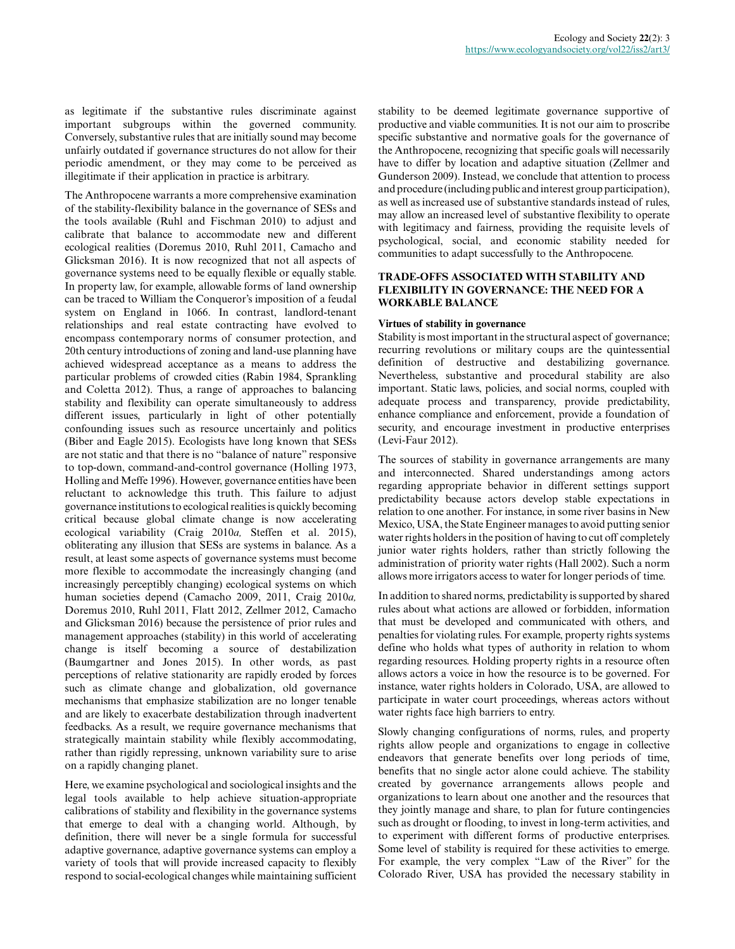as legitimate if the substantive rules discriminate against important subgroups within the governed community. Conversely, substantive rules that are initially sound may become unfairly outdated if governance structures do not allow for their periodic amendment, or they may come to be perceived as illegitimate if their application in practice is arbitrary.

The Anthropocene warrants a more comprehensive examination of the stability-flexibility balance in the governance of SESs and the tools available (Ruhl and Fischman 2010) to adjust and calibrate that balance to accommodate new and different ecological realities (Doremus 2010, Ruhl 2011, Camacho and Glicksman 2016). It is now recognized that not all aspects of governance systems need to be equally flexible or equally stable. In property law, for example, allowable forms of land ownership can be traced to William the Conqueror's imposition of a feudal system on England in 1066. In contrast, landlord-tenant relationships and real estate contracting have evolved to encompass contemporary norms of consumer protection, and 20th century introductions of zoning and land-use planning have achieved widespread acceptance as a means to address the particular problems of crowded cities (Rabin 1984, Sprankling and Coletta 2012). Thus, a range of approaches to balancing stability and flexibility can operate simultaneously to address different issues, particularly in light of other potentially confounding issues such as resource uncertainly and politics (Biber and Eagle 2015). Ecologists have long known that SESs are not static and that there is no "balance of nature" responsive to top-down, command-and-control governance (Holling 1973, Holling and Meffe 1996). However, governance entities have been reluctant to acknowledge this truth. This failure to adjust governance institutions to ecological realities is quickly becoming critical because global climate change is now accelerating ecological variability (Craig 2010*a,* Steffen et al. 2015), obliterating any illusion that SESs are systems in balance. As a result, at least some aspects of governance systems must become more flexible to accommodate the increasingly changing (and increasingly perceptibly changing) ecological systems on which human societies depend (Camacho 2009, 2011, Craig 2010*a,* Doremus 2010, Ruhl 2011, Flatt 2012, Zellmer 2012, Camacho and Glicksman 2016) because the persistence of prior rules and management approaches (stability) in this world of accelerating change is itself becoming a source of destabilization (Baumgartner and Jones 2015). In other words, as past perceptions of relative stationarity are rapidly eroded by forces such as climate change and globalization, old governance mechanisms that emphasize stabilization are no longer tenable and are likely to exacerbate destabilization through inadvertent feedbacks. As a result, we require governance mechanisms that strategically maintain stability while flexibly accommodating, rather than rigidly repressing, unknown variability sure to arise on a rapidly changing planet.

Here, we examine psychological and sociological insights and the legal tools available to help achieve situation-appropriate calibrations of stability and flexibility in the governance systems that emerge to deal with a changing world. Although, by definition, there will never be a single formula for successful adaptive governance, adaptive governance systems can employ a variety of tools that will provide increased capacity to flexibly respond to social-ecological changes while maintaining sufficient

stability to be deemed legitimate governance supportive of productive and viable communities. It is not our aim to proscribe specific substantive and normative goals for the governance of the Anthropocene, recognizing that specific goals will necessarily have to differ by location and adaptive situation (Zellmer and Gunderson 2009). Instead, we conclude that attention to process and procedure (including public and interest group participation), as well as increased use of substantive standards instead of rules, may allow an increased level of substantive flexibility to operate with legitimacy and fairness, providing the requisite levels of psychological, social, and economic stability needed for communities to adapt successfully to the Anthropocene.

# **TRADE-OFFS ASSOCIATED WITH STABILITY AND FLEXIBILITY IN GOVERNANCE: THE NEED FOR A WORKABLE BALANCE**

# **Virtues of stability in governance**

Stability is most important in the structural aspect of governance; recurring revolutions or military coups are the quintessential definition of destructive and destabilizing governance. Nevertheless, substantive and procedural stability are also important. Static laws, policies, and social norms, coupled with adequate process and transparency, provide predictability, enhance compliance and enforcement, provide a foundation of security, and encourage investment in productive enterprises (Levi-Faur 2012).

The sources of stability in governance arrangements are many and interconnected. Shared understandings among actors regarding appropriate behavior in different settings support predictability because actors develop stable expectations in relation to one another. For instance, in some river basins in New Mexico, USA, the State Engineer manages to avoid putting senior water rights holders in the position of having to cut off completely junior water rights holders, rather than strictly following the administration of priority water rights (Hall 2002). Such a norm allows more irrigators access to water for longer periods of time.

In addition to shared norms, predictability is supported by shared rules about what actions are allowed or forbidden, information that must be developed and communicated with others, and penalties for violating rules. For example, property rights systems define who holds what types of authority in relation to whom regarding resources. Holding property rights in a resource often allows actors a voice in how the resource is to be governed. For instance, water rights holders in Colorado, USA, are allowed to participate in water court proceedings, whereas actors without water rights face high barriers to entry.

Slowly changing configurations of norms, rules, and property rights allow people and organizations to engage in collective endeavors that generate benefits over long periods of time, benefits that no single actor alone could achieve. The stability created by governance arrangements allows people and organizations to learn about one another and the resources that they jointly manage and share, to plan for future contingencies such as drought or flooding, to invest in long-term activities, and to experiment with different forms of productive enterprises. Some level of stability is required for these activities to emerge. For example, the very complex "Law of the River" for the Colorado River, USA has provided the necessary stability in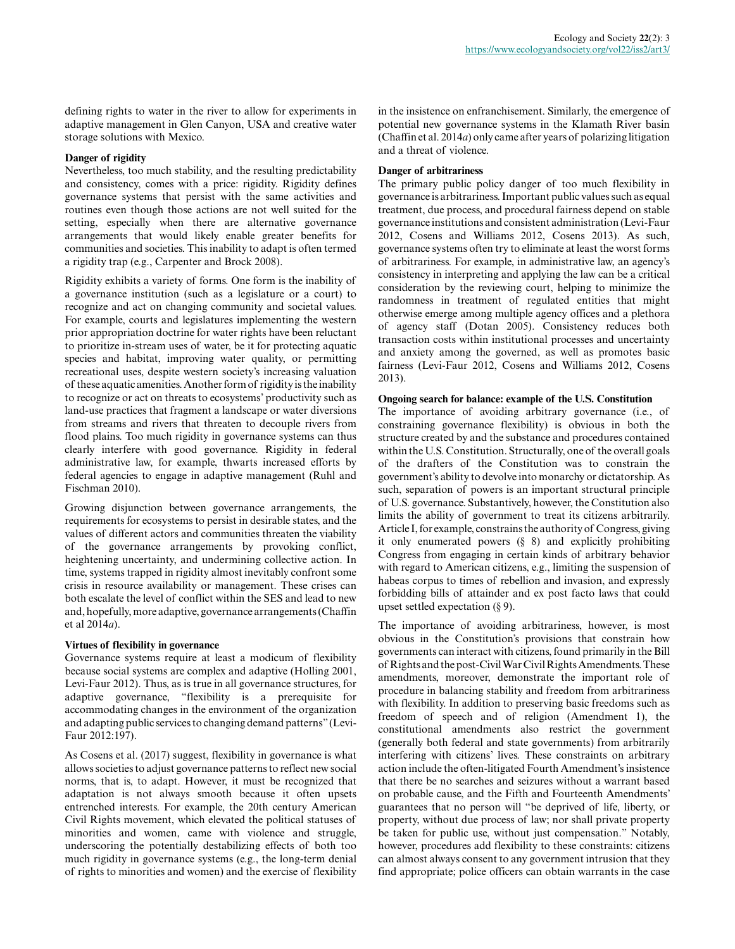defining rights to water in the river to allow for experiments in adaptive management in Glen Canyon, USA and creative water storage solutions with Mexico.

## **Danger of rigidity**

Nevertheless, too much stability, and the resulting predictability and consistency, comes with a price: rigidity. Rigidity defines governance systems that persist with the same activities and routines even though those actions are not well suited for the setting, especially when there are alternative governance arrangements that would likely enable greater benefits for communities and societies. This inability to adapt is often termed a rigidity trap (e.g., Carpenter and Brock 2008).

Rigidity exhibits a variety of forms. One form is the inability of a governance institution (such as a legislature or a court) to recognize and act on changing community and societal values. For example, courts and legislatures implementing the western prior appropriation doctrine for water rights have been reluctant to prioritize in-stream uses of water, be it for protecting aquatic species and habitat, improving water quality, or permitting recreational uses, despite western society's increasing valuation of these aquatic amenities. Another form of rigidity is the inability to recognize or act on threats to ecosystems' productivity such as land-use practices that fragment a landscape or water diversions from streams and rivers that threaten to decouple rivers from flood plains. Too much rigidity in governance systems can thus clearly interfere with good governance. Rigidity in federal administrative law, for example, thwarts increased efforts by federal agencies to engage in adaptive management (Ruhl and Fischman 2010).

Growing disjunction between governance arrangements, the requirements for ecosystems to persist in desirable states, and the values of different actors and communities threaten the viability of the governance arrangements by provoking conflict, heightening uncertainty, and undermining collective action. In time, systems trapped in rigidity almost inevitably confront some crisis in resource availability or management. These crises can both escalate the level of conflict within the SES and lead to new and, hopefully, more adaptive, governance arrangements (Chaffin et al 2014*a*).

# **Virtues of flexibility in governance**

Governance systems require at least a modicum of flexibility because social systems are complex and adaptive (Holling 2001, Levi-Faur 2012). Thus, as is true in all governance structures, for adaptive governance, "flexibility is a prerequisite for accommodating changes in the environment of the organization and adapting public services to changing demand patterns" (Levi-Faur 2012:197).

As Cosens et al. (2017) suggest, flexibility in governance is what allows societies to adjust governance patterns to reflect new social norms, that is, to adapt. However, it must be recognized that adaptation is not always smooth because it often upsets entrenched interests. For example, the 20th century American Civil Rights movement, which elevated the political statuses of minorities and women, came with violence and struggle, underscoring the potentially destabilizing effects of both too much rigidity in governance systems (e.g., the long-term denial of rights to minorities and women) and the exercise of flexibility

in the insistence on enfranchisement. Similarly, the emergence of potential new governance systems in the Klamath River basin (Chaffin et al. 2014*a*) only came after years of polarizing litigation and a threat of violence.

# **Danger of arbitrariness**

The primary public policy danger of too much flexibility in governance is arbitrariness. Important public values such as equal treatment, due process, and procedural fairness depend on stable governance institutions and consistent administration (Levi-Faur 2012, Cosens and Williams 2012, Cosens 2013). As such, governance systems often try to eliminate at least the worst forms of arbitrariness. For example, in administrative law, an agency's consistency in interpreting and applying the law can be a critical consideration by the reviewing court, helping to minimize the randomness in treatment of regulated entities that might otherwise emerge among multiple agency offices and a plethora of agency staff (Dotan 2005). Consistency reduces both transaction costs within institutional processes and uncertainty and anxiety among the governed, as well as promotes basic fairness (Levi-Faur 2012, Cosens and Williams 2012, Cosens 2013).

# **Ongoing search for balance: example of the U.S. Constitution**

The importance of avoiding arbitrary governance (i.e., of constraining governance flexibility) is obvious in both the structure created by and the substance and procedures contained within the U.S. Constitution. Structurally, one of the overall goals of the drafters of the Constitution was to constrain the government's ability to devolve into monarchy or dictatorship. As such, separation of powers is an important structural principle of U.S. governance. Substantively, however, the Constitution also limits the ability of government to treat its citizens arbitrarily. Article I, for example, constrains the authority of Congress, giving it only enumerated powers (§ 8) and explicitly prohibiting Congress from engaging in certain kinds of arbitrary behavior with regard to American citizens, e.g., limiting the suspension of habeas corpus to times of rebellion and invasion, and expressly forbidding bills of attainder and ex post facto laws that could upset settled expectation (§ 9).

The importance of avoiding arbitrariness, however, is most obvious in the Constitution's provisions that constrain how governments can interact with citizens, found primarily in the Bill of Rights and the post-Civil War Civil Rights Amendments. These amendments, moreover, demonstrate the important role of procedure in balancing stability and freedom from arbitrariness with flexibility. In addition to preserving basic freedoms such as freedom of speech and of religion (Amendment 1), the constitutional amendments also restrict the government (generally both federal and state governments) from arbitrarily interfering with citizens' lives. These constraints on arbitrary action include the often-litigated Fourth Amendment's insistence that there be no searches and seizures without a warrant based on probable cause, and the Fifth and Fourteenth Amendments' guarantees that no person will "be deprived of life, liberty, or property, without due process of law; nor shall private property be taken for public use, without just compensation." Notably, however, procedures add flexibility to these constraints: citizens can almost always consent to any government intrusion that they find appropriate; police officers can obtain warrants in the case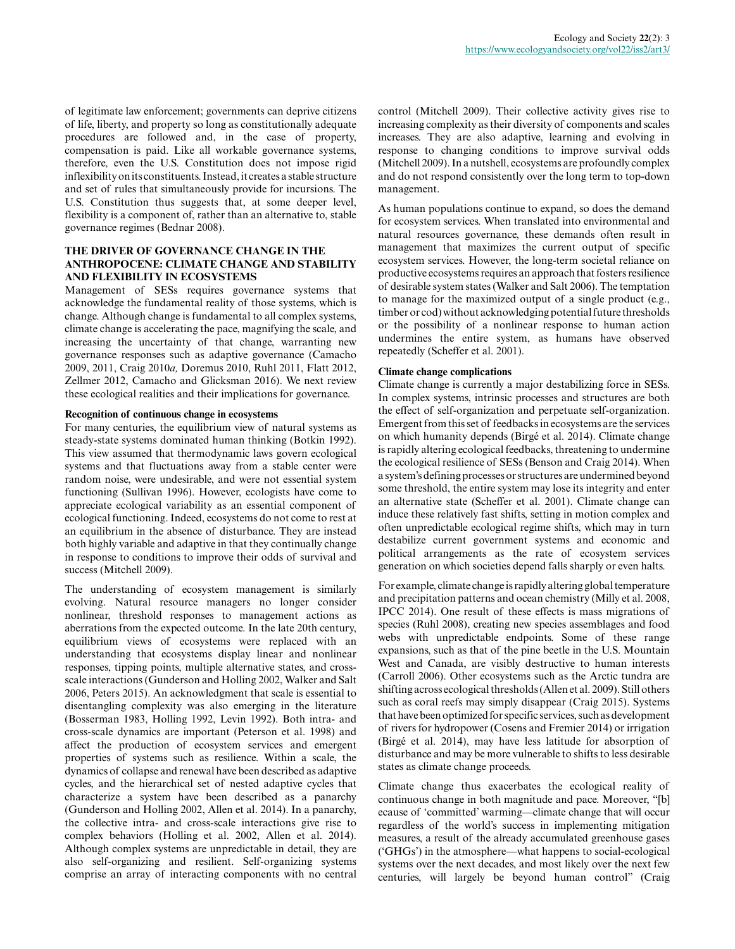of legitimate law enforcement; governments can deprive citizens of life, liberty, and property so long as constitutionally adequate procedures are followed and, in the case of property, compensation is paid. Like all workable governance systems, therefore, even the U.S. Constitution does not impose rigid inflexibility on its constituents. Instead, it creates a stable structure and set of rules that simultaneously provide for incursions. The U.S. Constitution thus suggests that, at some deeper level, flexibility is a component of, rather than an alternative to, stable governance regimes (Bednar 2008).

# **THE DRIVER OF GOVERNANCE CHANGE IN THE ANTHROPOCENE: CLIMATE CHANGE AND STABILITY AND FLEXIBILITY IN ECOSYSTEMS**

Management of SESs requires governance systems that acknowledge the fundamental reality of those systems, which is change. Although change is fundamental to all complex systems, climate change is accelerating the pace, magnifying the scale, and increasing the uncertainty of that change, warranting new governance responses such as adaptive governance (Camacho 2009, 2011, Craig 2010*a,* Doremus 2010, Ruhl 2011, Flatt 2012, Zellmer 2012, Camacho and Glicksman 2016). We next review these ecological realities and their implications for governance.

# **Recognition of continuous change in ecosystems**

For many centuries, the equilibrium view of natural systems as steady-state systems dominated human thinking (Botkin 1992). This view assumed that thermodynamic laws govern ecological systems and that fluctuations away from a stable center were random noise, were undesirable, and were not essential system functioning (Sullivan 1996). However, ecologists have come to appreciate ecological variability as an essential component of ecological functioning. Indeed, ecosystems do not come to rest at an equilibrium in the absence of disturbance. They are instead both highly variable and adaptive in that they continually change in response to conditions to improve their odds of survival and success (Mitchell 2009).

The understanding of ecosystem management is similarly evolving. Natural resource managers no longer consider nonlinear, threshold responses to management actions as aberrations from the expected outcome. In the late 20th century, equilibrium views of ecosystems were replaced with an understanding that ecosystems display linear and nonlinear responses, tipping points, multiple alternative states, and crossscale interactions (Gunderson and Holling 2002, Walker and Salt 2006, Peters 2015). An acknowledgment that scale is essential to disentangling complexity was also emerging in the literature (Bosserman 1983, Holling 1992, Levin 1992). Both intra- and cross-scale dynamics are important (Peterson et al. 1998) and affect the production of ecosystem services and emergent properties of systems such as resilience. Within a scale, the dynamics of collapse and renewal have been described as adaptive cycles, and the hierarchical set of nested adaptive cycles that characterize a system have been described as a panarchy (Gunderson and Holling 2002, Allen et al. 2014). In a panarchy, the collective intra- and cross-scale interactions give rise to complex behaviors (Holling et al. 2002, Allen et al. 2014). Although complex systems are unpredictable in detail, they are also self-organizing and resilient. Self-organizing systems comprise an array of interacting components with no central

control (Mitchell 2009). Their collective activity gives rise to increasing complexity as their diversity of components and scales increases. They are also adaptive, learning and evolving in response to changing conditions to improve survival odds (Mitchell 2009). In a nutshell, ecosystems are profoundly complex and do not respond consistently over the long term to top-down management.

As human populations continue to expand, so does the demand for ecosystem services. When translated into environmental and natural resources governance, these demands often result in management that maximizes the current output of specific ecosystem services. However, the long-term societal reliance on productive ecosystems requires an approach that fosters resilience of desirable system states (Walker and Salt 2006). The temptation to manage for the maximized output of a single product (e.g., timber or cod) without acknowledging potential future thresholds or the possibility of a nonlinear response to human action undermines the entire system, as humans have observed repeatedly (Scheffer et al. 2001).

# **Climate change complications**

Climate change is currently a major destabilizing force in SESs. In complex systems, intrinsic processes and structures are both the effect of self-organization and perpetuate self-organization. Emergent from this set of feedbacks in ecosystems are the services on which humanity depends (Birgé et al. 2014). Climate change is rapidly altering ecological feedbacks, threatening to undermine the ecological resilience of SESs (Benson and Craig 2014). When a system's defining processes or structures are undermined beyond some threshold, the entire system may lose its integrity and enter an alternative state (Scheffer et al. 2001). Climate change can induce these relatively fast shifts, setting in motion complex and often unpredictable ecological regime shifts, which may in turn destabilize current government systems and economic and political arrangements as the rate of ecosystem services generation on which societies depend falls sharply or even halts.

For example, climate change is rapidly altering global temperature and precipitation patterns and ocean chemistry (Milly et al. 2008, IPCC 2014). One result of these effects is mass migrations of species (Ruhl 2008), creating new species assemblages and food webs with unpredictable endpoints. Some of these range expansions, such as that of the pine beetle in the U.S. Mountain West and Canada, are visibly destructive to human interests (Carroll 2006). Other ecosystems such as the Arctic tundra are shifting across ecological thresholds (Allen et al. 2009). Still others such as coral reefs may simply disappear (Craig 2015). Systems that have been optimized for specific services, such as development of rivers for hydropower (Cosens and Fremier 2014) or irrigation (Birgé et al. 2014), may have less latitude for absorption of disturbance and may be more vulnerable to shifts to less desirable states as climate change proceeds.

Climate change thus exacerbates the ecological reality of continuous change in both magnitude and pace. Moreover, "[b] ecause of 'committed' warming—climate change that will occur regardless of the world's success in implementing mitigation measures, a result of the already accumulated greenhouse gases ('GHGs') in the atmosphere—what happens to social-ecological systems over the next decades, and most likely over the next few centuries, will largely be beyond human control" (Craig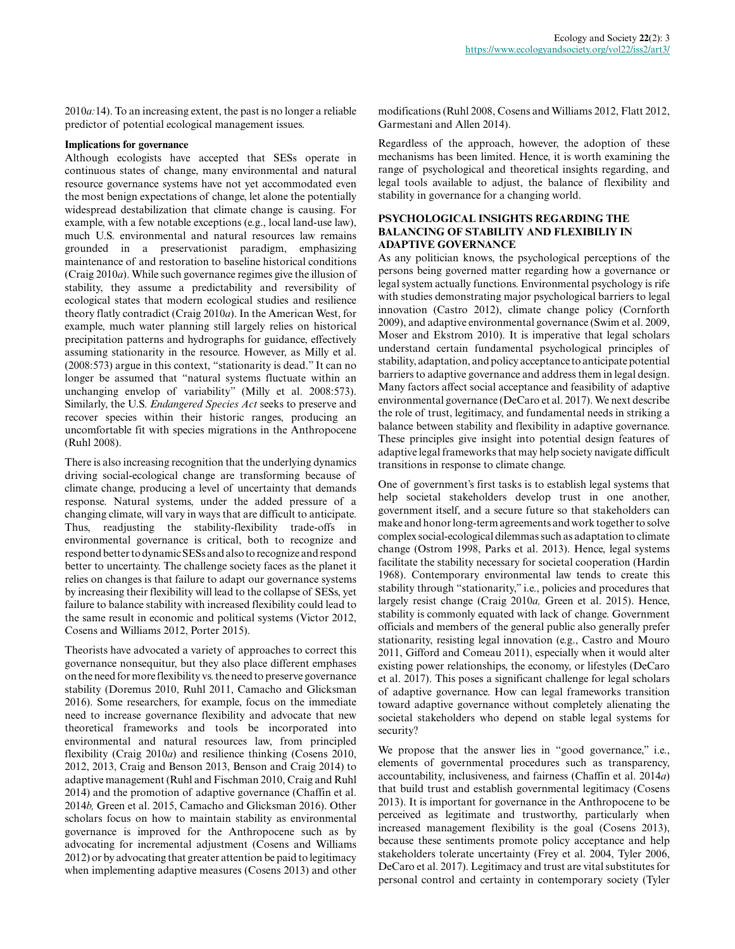2010*a:*14). To an increasing extent, the past is no longer a reliable predictor of potential ecological management issues.

#### **Implications for governance**

Although ecologists have accepted that SESs operate in continuous states of change, many environmental and natural resource governance systems have not yet accommodated even the most benign expectations of change, let alone the potentially widespread destabilization that climate change is causing. For example, with a few notable exceptions (e.g., local land-use law), much U.S. environmental and natural resources law remains grounded in a preservationist paradigm, emphasizing maintenance of and restoration to baseline historical conditions (Craig 2010*a*). While such governance regimes give the illusion of stability, they assume a predictability and reversibility of ecological states that modern ecological studies and resilience theory flatly contradict (Craig 2010*a*). In the American West, for example, much water planning still largely relies on historical precipitation patterns and hydrographs for guidance, effectively assuming stationarity in the resource. However, as Milly et al. (2008:573) argue in this context, "stationarity is dead." It can no longer be assumed that "natural systems fluctuate within an unchanging envelop of variability" (Milly et al. 2008:573). Similarly, the U.S. *Endangered Species Act* seeks to preserve and recover species within their historic ranges, producing an uncomfortable fit with species migrations in the Anthropocene (Ruhl 2008).

There is also increasing recognition that the underlying dynamics driving social-ecological change are transforming because of climate change, producing a level of uncertainty that demands response. Natural systems, under the added pressure of a changing climate, will vary in ways that are difficult to anticipate. Thus, readjusting the stability-flexibility trade-offs in environmental governance is critical, both to recognize and respond better to dynamic SESs and also to recognize and respond better to uncertainty. The challenge society faces as the planet it relies on changes is that failure to adapt our governance systems by increasing their flexibility will lead to the collapse of SESs, yet failure to balance stability with increased flexibility could lead to the same result in economic and political systems (Victor 2012, Cosens and Williams 2012, Porter 2015).

Theorists have advocated a variety of approaches to correct this governance nonsequitur, but they also place different emphases on the need for more flexibility vs. the need to preserve governance stability (Doremus 2010, Ruhl 2011, Camacho and Glicksman 2016). Some researchers, for example, focus on the immediate need to increase governance flexibility and advocate that new theoretical frameworks and tools be incorporated into environmental and natural resources law, from principled flexibility (Craig 2010*a*) and resilience thinking (Cosens 2010, 2012, 2013, Craig and Benson 2013, Benson and Craig 2014) to adaptive management (Ruhl and Fischman 2010, Craig and Ruhl 2014) and the promotion of adaptive governance (Chaffin et al. 2014*b,* Green et al. 2015, Camacho and Glicksman 2016). Other scholars focus on how to maintain stability as environmental governance is improved for the Anthropocene such as by advocating for incremental adjustment (Cosens and Williams 2012) or by advocating that greater attention be paid to legitimacy when implementing adaptive measures (Cosens 2013) and other modifications (Ruhl 2008, Cosens and Williams 2012, Flatt 2012, Garmestani and Allen 2014).

Regardless of the approach, however, the adoption of these mechanisms has been limited. Hence, it is worth examining the range of psychological and theoretical insights regarding, and legal tools available to adjust, the balance of flexibility and stability in governance for a changing world.

# **PSYCHOLOGICAL INSIGHTS REGARDING THE BALANCING OF STABILITY AND FLEXIBILIY IN ADAPTIVE GOVERNANCE**

As any politician knows, the psychological perceptions of the persons being governed matter regarding how a governance or legal system actually functions. Environmental psychology is rife with studies demonstrating major psychological barriers to legal innovation (Castro 2012), climate change policy (Cornforth 2009), and adaptive environmental governance (Swim et al. 2009, Moser and Ekstrom 2010). It is imperative that legal scholars understand certain fundamental psychological principles of stability, adaptation, and policy acceptance to anticipate potential barriers to adaptive governance and address them in legal design. Many factors affect social acceptance and feasibility of adaptive environmental governance (DeCaro et al. 2017). We next describe the role of trust, legitimacy, and fundamental needs in striking a balance between stability and flexibility in adaptive governance. These principles give insight into potential design features of adaptive legal frameworks that may help society navigate difficult transitions in response to climate change.

One of government's first tasks is to establish legal systems that help societal stakeholders develop trust in one another, government itself, and a secure future so that stakeholders can make and honor long-term agreements and work together to solve complex social-ecological dilemmas such as adaptation to climate change (Ostrom 1998, Parks et al. 2013). Hence, legal systems facilitate the stability necessary for societal cooperation (Hardin 1968). Contemporary environmental law tends to create this stability through "stationarity," i.e., policies and procedures that largely resist change (Craig 2010*a,* Green et al. 2015). Hence, stability is commonly equated with lack of change. Government officials and members of the general public also generally prefer stationarity, resisting legal innovation (e.g., Castro and Mouro 2011, Gifford and Comeau 2011), especially when it would alter existing power relationships, the economy, or lifestyles (DeCaro et al. 2017). This poses a significant challenge for legal scholars of adaptive governance. How can legal frameworks transition toward adaptive governance without completely alienating the societal stakeholders who depend on stable legal systems for security?

We propose that the answer lies in "good governance," i.e., elements of governmental procedures such as transparency, accountability, inclusiveness, and fairness (Chaffin et al. 2014*a*) that build trust and establish governmental legitimacy (Cosens 2013). It is important for governance in the Anthropocene to be perceived as legitimate and trustworthy, particularly when increased management flexibility is the goal (Cosens 2013), because these sentiments promote policy acceptance and help stakeholders tolerate uncertainty (Frey et al. 2004, Tyler 2006, DeCaro et al. 2017). Legitimacy and trust are vital substitutes for personal control and certainty in contemporary society (Tyler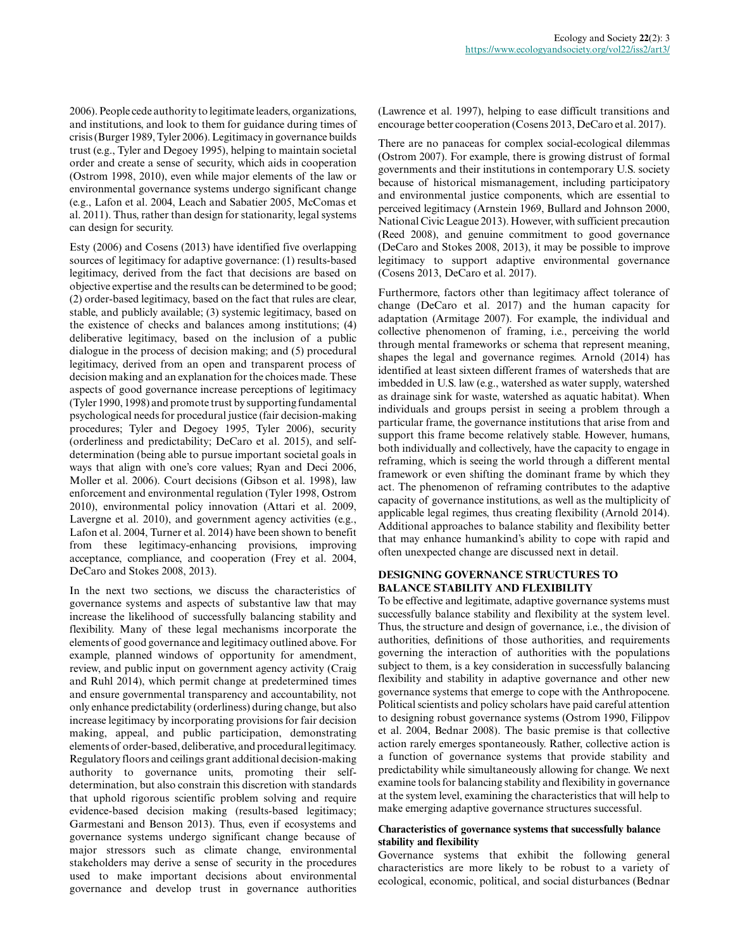2006). People cede authority to legitimate leaders, organizations, and institutions, and look to them for guidance during times of crisis (Burger 1989, Tyler 2006). Legitimacy in governance builds trust (e.g., Tyler and Degoey 1995), helping to maintain societal order and create a sense of security, which aids in cooperation (Ostrom 1998, 2010), even while major elements of the law or environmental governance systems undergo significant change (e.g., Lafon et al. 2004, Leach and Sabatier 2005, McComas et al. 2011). Thus, rather than design for stationarity, legal systems can design for security.

Esty (2006) and Cosens (2013) have identified five overlapping sources of legitimacy for adaptive governance: (1) results-based legitimacy, derived from the fact that decisions are based on objective expertise and the results can be determined to be good; (2) order-based legitimacy, based on the fact that rules are clear, stable, and publicly available; (3) systemic legitimacy, based on the existence of checks and balances among institutions; (4) deliberative legitimacy, based on the inclusion of a public dialogue in the process of decision making; and (5) procedural legitimacy, derived from an open and transparent process of decision making and an explanation for the choices made. These aspects of good governance increase perceptions of legitimacy (Tyler 1990, 1998) and promote trust by supporting fundamental psychological needs for procedural justice (fair decision-making procedures; Tyler and Degoey 1995, Tyler 2006), security (orderliness and predictability; DeCaro et al. 2015), and selfdetermination (being able to pursue important societal goals in ways that align with one's core values; Ryan and Deci 2006, Moller et al. 2006). Court decisions (Gibson et al. 1998), law enforcement and environmental regulation (Tyler 1998, Ostrom 2010), environmental policy innovation (Attari et al. 2009, Lavergne et al. 2010), and government agency activities (e.g., Lafon et al. 2004, Turner et al. 2014) have been shown to benefit from these legitimacy-enhancing provisions, improving acceptance, compliance, and cooperation (Frey et al. 2004, DeCaro and Stokes 2008, 2013).

In the next two sections, we discuss the characteristics of governance systems and aspects of substantive law that may increase the likelihood of successfully balancing stability and flexibility. Many of these legal mechanisms incorporate the elements of good governance and legitimacy outlined above. For example, planned windows of opportunity for amendment, review, and public input on government agency activity (Craig and Ruhl 2014), which permit change at predetermined times and ensure governmental transparency and accountability, not only enhance predictability (orderliness) during change, but also increase legitimacy by incorporating provisions for fair decision making, appeal, and public participation, demonstrating elements of order-based, deliberative, and procedural legitimacy. Regulatory floors and ceilings grant additional decision-making authority to governance units, promoting their selfdetermination, but also constrain this discretion with standards that uphold rigorous scientific problem solving and require evidence-based decision making (results-based legitimacy; Garmestani and Benson 2013). Thus, even if ecosystems and governance systems undergo significant change because of major stressors such as climate change, environmental stakeholders may derive a sense of security in the procedures used to make important decisions about environmental governance and develop trust in governance authorities

(Lawrence et al. 1997), helping to ease difficult transitions and encourage better cooperation (Cosens 2013, DeCaro et al. 2017).

There are no panaceas for complex social-ecological dilemmas (Ostrom 2007). For example, there is growing distrust of formal governments and their institutions in contemporary U.S. society because of historical mismanagement, including participatory and environmental justice components, which are essential to perceived legitimacy (Arnstein 1969, Bullard and Johnson 2000, National Civic League 2013). However, with sufficient precaution (Reed 2008), and genuine commitment to good governance (DeCaro and Stokes 2008, 2013), it may be possible to improve legitimacy to support adaptive environmental governance (Cosens 2013, DeCaro et al. 2017).

Furthermore, factors other than legitimacy affect tolerance of change (DeCaro et al. 2017) and the human capacity for adaptation (Armitage 2007). For example, the individual and collective phenomenon of framing, i.e., perceiving the world through mental frameworks or schema that represent meaning, shapes the legal and governance regimes. Arnold (2014) has identified at least sixteen different frames of watersheds that are imbedded in U.S. law (e.g., watershed as water supply, watershed as drainage sink for waste, watershed as aquatic habitat). When individuals and groups persist in seeing a problem through a particular frame, the governance institutions that arise from and support this frame become relatively stable. However, humans, both individually and collectively, have the capacity to engage in reframing, which is seeing the world through a different mental framework or even shifting the dominant frame by which they act. The phenomenon of reframing contributes to the adaptive capacity of governance institutions, as well as the multiplicity of applicable legal regimes, thus creating flexibility (Arnold 2014). Additional approaches to balance stability and flexibility better that may enhance humankind's ability to cope with rapid and often unexpected change are discussed next in detail.

# **DESIGNING GOVERNANCE STRUCTURES TO BALANCE STABILITY AND FLEXIBILITY**

To be effective and legitimate, adaptive governance systems must successfully balance stability and flexibility at the system level. Thus, the structure and design of governance, i.e., the division of authorities, definitions of those authorities, and requirements governing the interaction of authorities with the populations subject to them, is a key consideration in successfully balancing flexibility and stability in adaptive governance and other new governance systems that emerge to cope with the Anthropocene. Political scientists and policy scholars have paid careful attention to designing robust governance systems (Ostrom 1990, Filippov et al. 2004, Bednar 2008). The basic premise is that collective action rarely emerges spontaneously. Rather, collective action is a function of governance systems that provide stability and predictability while simultaneously allowing for change. We next examine tools for balancing stability and flexibility in governance at the system level, examining the characteristics that will help to make emerging adaptive governance structures successful.

# **Characteristics of governance systems that successfully balance stability and flexibility**

Governance systems that exhibit the following general characteristics are more likely to be robust to a variety of ecological, economic, political, and social disturbances (Bednar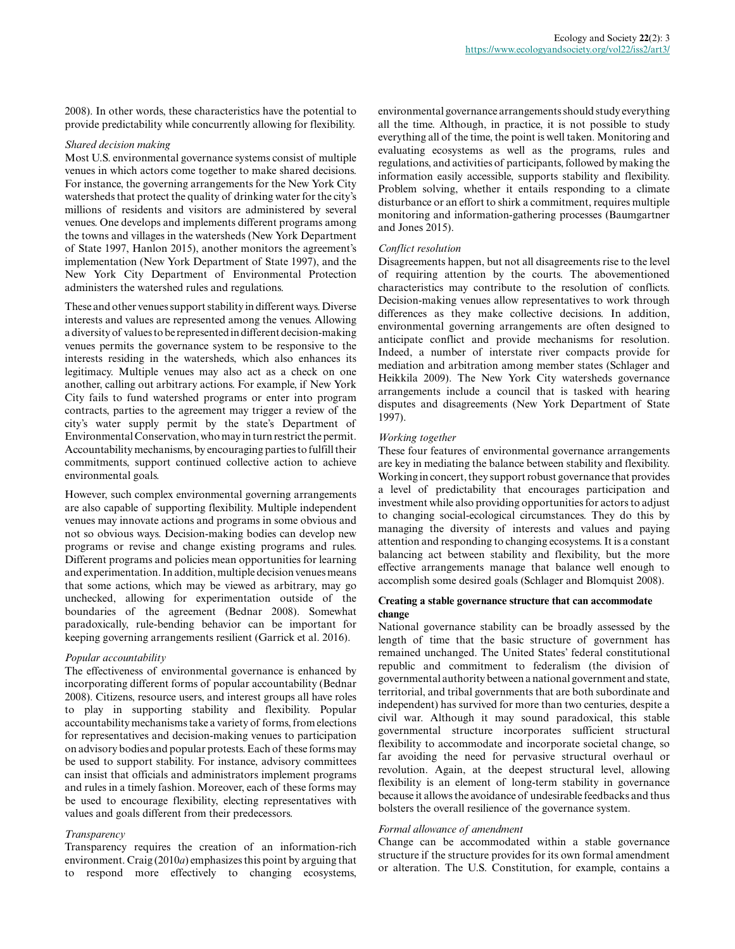2008). In other words, these characteristics have the potential to provide predictability while concurrently allowing for flexibility.

#### *Shared decision making*

Most U.S. environmental governance systems consist of multiple venues in which actors come together to make shared decisions. For instance, the governing arrangements for the New York City watersheds that protect the quality of drinking water for the city's millions of residents and visitors are administered by several venues. One develops and implements different programs among the towns and villages in the watersheds (New York Department of State 1997, Hanlon 2015), another monitors the agreement's implementation (New York Department of State 1997), and the New York City Department of Environmental Protection administers the watershed rules and regulations.

These and other venues support stability in different ways. Diverse interests and values are represented among the venues. Allowing a diversity of values to be represented in different decision-making venues permits the governance system to be responsive to the interests residing in the watersheds, which also enhances its legitimacy. Multiple venues may also act as a check on one another, calling out arbitrary actions. For example, if New York City fails to fund watershed programs or enter into program contracts, parties to the agreement may trigger a review of the city's water supply permit by the state's Department of Environmental Conservation, who may in turn restrict the permit. Accountability mechanisms, by encouraging parties to fulfill their commitments, support continued collective action to achieve environmental goals.

However, such complex environmental governing arrangements are also capable of supporting flexibility. Multiple independent venues may innovate actions and programs in some obvious and not so obvious ways. Decision-making bodies can develop new programs or revise and change existing programs and rules. Different programs and policies mean opportunities for learning and experimentation. In addition, multiple decision venues means that some actions, which may be viewed as arbitrary, may go unchecked, allowing for experimentation outside of the boundaries of the agreement (Bednar 2008). Somewhat paradoxically, rule-bending behavior can be important for keeping governing arrangements resilient (Garrick et al. 2016).

## *Popular accountability*

The effectiveness of environmental governance is enhanced by incorporating different forms of popular accountability (Bednar 2008). Citizens, resource users, and interest groups all have roles to play in supporting stability and flexibility. Popular accountability mechanisms take a variety of forms, from elections for representatives and decision-making venues to participation on advisory bodies and popular protests. Each of these forms may be used to support stability. For instance, advisory committees can insist that officials and administrators implement programs and rules in a timely fashion. Moreover, each of these forms may be used to encourage flexibility, electing representatives with values and goals different from their predecessors.

## *Transparency*

Transparency requires the creation of an information-rich environment. Craig (2010*a*) emphasizes this point by arguing that to respond more effectively to changing ecosystems,

environmental governance arrangements should study everything all the time. Although, in practice, it is not possible to study everything all of the time, the point is well taken. Monitoring and evaluating ecosystems as well as the programs, rules and regulations, and activities of participants, followed by making the information easily accessible, supports stability and flexibility. Problem solving, whether it entails responding to a climate disturbance or an effort to shirk a commitment, requires multiple monitoring and information-gathering processes (Baumgartner and Jones 2015).

#### *Conflict resolution*

Disagreements happen, but not all disagreements rise to the level of requiring attention by the courts. The abovementioned characteristics may contribute to the resolution of conflicts. Decision-making venues allow representatives to work through differences as they make collective decisions. In addition, environmental governing arrangements are often designed to anticipate conflict and provide mechanisms for resolution. Indeed, a number of interstate river compacts provide for mediation and arbitration among member states (Schlager and Heikkila 2009). The New York City watersheds governance arrangements include a council that is tasked with hearing disputes and disagreements (New York Department of State 1997).

## *Working together*

These four features of environmental governance arrangements are key in mediating the balance between stability and flexibility. Working in concert, they support robust governance that provides a level of predictability that encourages participation and investment while also providing opportunities for actors to adjust to changing social-ecological circumstances. They do this by managing the diversity of interests and values and paying attention and responding to changing ecosystems. It is a constant balancing act between stability and flexibility, but the more effective arrangements manage that balance well enough to accomplish some desired goals (Schlager and Blomquist 2008).

# **Creating a stable governance structure that can accommodate change**

National governance stability can be broadly assessed by the length of time that the basic structure of government has remained unchanged. The United States' federal constitutional republic and commitment to federalism (the division of governmental authority between a national government and state, territorial, and tribal governments that are both subordinate and independent) has survived for more than two centuries, despite a civil war. Although it may sound paradoxical, this stable governmental structure incorporates sufficient structural flexibility to accommodate and incorporate societal change, so far avoiding the need for pervasive structural overhaul or revolution. Again, at the deepest structural level, allowing flexibility is an element of long-term stability in governance because it allows the avoidance of undesirable feedbacks and thus bolsters the overall resilience of the governance system.

## *Formal allowance of amendment*

Change can be accommodated within a stable governance structure if the structure provides for its own formal amendment or alteration. The U.S. Constitution, for example, contains a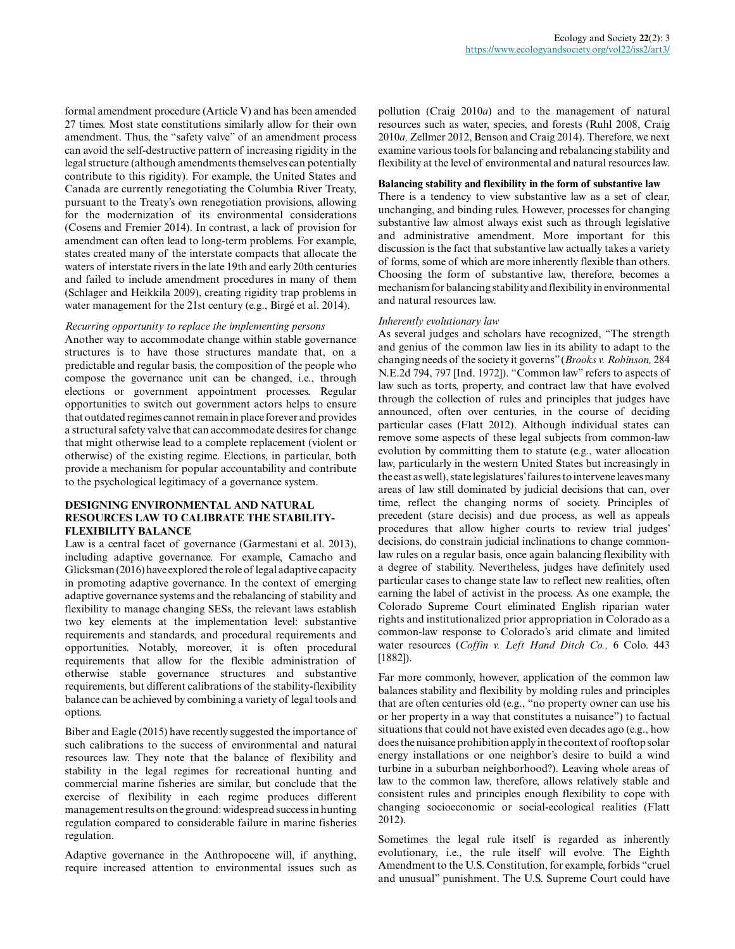formal amendment procedure (Article V) and has been amended 27 times. Most state constitutions similarly allow for their own amendment. Thus, the "safety valve" of an amendment process can avoid the self-destructive pattern of increasing rigidity in the legal structure (although amendments themselves can potentially contribute to this rigidity). For example, the United States and Canada are currently renegotiating the Columbia River Treaty, pursuant to the Treaty's own renegotiation provisions, allowing for the modernization of its environmental considerations (Cosens and Fremier 2014). In contrast, a lack of provision for amendment can often lead to long-term problems. For example, states created many of the interstate compacts that allocate the waters of interstate rivers in the late 19th and early 20th centuries and failed to include amendment procedures in many of them (Schlager and Heikkila 2009), creating rigidity trap problems in water management for the 21st century (e.g., Birgé et al. 2014).

## *Recurring opportunity to replace the implementing persons*

Another way to accommodate change within stable governance structures is to have those structures mandate that, on a predictable and regular basis, the composition of the people who compose the governance unit can be changed, i.e., through elections or government appointment processes. Regular opportunities to switch out government actors helps to ensure that outdated regimes cannot remain in place forever and provides a structural safety valve that can accommodate desires for change that might otherwise lead to a complete replacement (violent or otherwise) of the existing regime. Elections, in particular, both provide a mechanism for popular accountability and contribute to the psychological legitimacy of a governance system.

# **DESIGNING ENVIRONMENTAL AND NATURAL RESOURCES LAW TO CALIBRATE THE STABILITY-FLEXIBILITY BALANCE**

Law is a central facet of governance (Garmestani et al. 2013), including adaptive governance. For example, Camacho and Glicksman (2016) have explored the role of legal adaptive capacity in promoting adaptive governance. In the context of emerging adaptive governance systems and the rebalancing of stability and flexibility to manage changing SESs, the relevant laws establish two key elements at the implementation level: substantive requirements and standards, and procedural requirements and opportunities. Notably, moreover, it is often procedural requirements that allow for the flexible administration of otherwise stable governance structures and substantive requirements, but different calibrations of the stability-flexibility balance can be achieved by combining a variety of legal tools and options.

Biber and Eagle (2015) have recently suggested the importance of such calibrations to the success of environmental and natural resources law. They note that the balance of flexibility and stability in the legal regimes for recreational hunting and commercial marine fisheries are similar, but conclude that the exercise of flexibility in each regime produces different management results on the ground: widespread success in hunting regulation compared to considerable failure in marine fisheries regulation.

Adaptive governance in the Anthropocene will, if anything, require increased attention to environmental issues such as pollution (Craig 2010*a*) and to the management of natural resources such as water, species, and forests (Ruhl 2008, Craig 2010*a,* Zellmer 2012, Benson and Craig 2014). Therefore, we next examine various tools for balancing and rebalancing stability and flexibility at the level of environmental and natural resources law.

## **Balancing stability and flexibility in the form of substantive law**

There is a tendency to view substantive law as a set of clear, unchanging, and binding rules. However, processes for changing substantive law almost always exist such as through legislative and administrative amendment. More important for this discussion is the fact that substantive law actually takes a variety of forms, some of which are more inherently flexible than others. Choosing the form of substantive law, therefore, becomes a mechanism for balancing stability and flexibility in environmental and natural resources law.

#### *Inherently evolutionary law*

As several judges and scholars have recognized, "The strength and genius of the common law lies in its ability to adapt to the changing needs of the society it governs" (*Brooks v. Robinson,* 284 N.E.2d 794, 797 [Ind. 1972]). "Common law" refers to aspects of law such as torts, property, and contract law that have evolved through the collection of rules and principles that judges have announced, often over centuries, in the course of deciding particular cases (Flatt 2012). Although individual states can remove some aspects of these legal subjects from common-law evolution by committing them to statute (e.g., water allocation law, particularly in the western United States but increasingly in the east as well), state legislatures' failures to intervene leaves many areas of law still dominated by judicial decisions that can, over time, reflect the changing norms of society. Principles of precedent (stare decisis) and due process, as well as appeals procedures that allow higher courts to review trial judges' decisions, do constrain judicial inclinations to change commonlaw rules on a regular basis, once again balancing flexibility with a degree of stability. Nevertheless, judges have definitely used particular cases to change state law to reflect new realities, often earning the label of activist in the process. As one example, the Colorado Supreme Court eliminated English riparian water rights and institutionalized prior appropriation in Colorado as a common-law response to Colorado's arid climate and limited water resources (*Coffin v. Left Hand Ditch Co.,* 6 Colo. 443 [1882]).

Far more commonly, however, application of the common law balances stability and flexibility by molding rules and principles that are often centuries old (e.g., "no property owner can use his or her property in a way that constitutes a nuisance") to factual situations that could not have existed even decades ago (e.g., how does the nuisance prohibition apply in the context of rooftop solar energy installations or one neighbor's desire to build a wind turbine in a suburban neighborhood?). Leaving whole areas of law to the common law, therefore, allows relatively stable and consistent rules and principles enough flexibility to cope with changing socioeconomic or social-ecological realities (Flatt 2012).

Sometimes the legal rule itself is regarded as inherently evolutionary, i.e., the rule itself will evolve. The Eighth Amendment to the U.S. Constitution, for example, forbids "cruel and unusual" punishment. The U.S. Supreme Court could have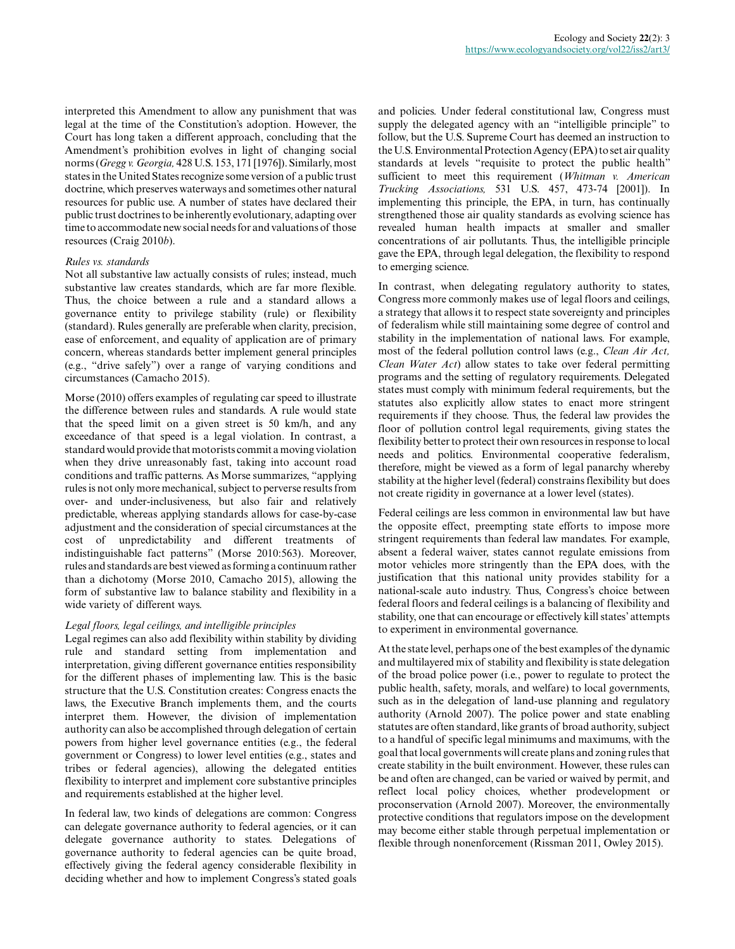interpreted this Amendment to allow any punishment that was legal at the time of the Constitution's adoption. However, the Court has long taken a different approach, concluding that the Amendment's prohibition evolves in light of changing social norms (*Gregg v. Georgia,* 428 U.S. 153, 171 [1976]). Similarly, most states in the United States recognize some version of a public trust doctrine, which preserves waterways and sometimes other natural resources for public use. A number of states have declared their public trust doctrines to be inherently evolutionary, adapting over time to accommodate new social needs for and valuations of those resources (Craig 2010*b*).

## *Rules vs. standards*

Not all substantive law actually consists of rules; instead, much substantive law creates standards, which are far more flexible. Thus, the choice between a rule and a standard allows a governance entity to privilege stability (rule) or flexibility (standard). Rules generally are preferable when clarity, precision, ease of enforcement, and equality of application are of primary concern, whereas standards better implement general principles (e.g., "drive safely") over a range of varying conditions and circumstances (Camacho 2015).

Morse (2010) offers examples of regulating car speed to illustrate the difference between rules and standards. A rule would state that the speed limit on a given street is 50 km/h, and any exceedance of that speed is a legal violation. In contrast, a standard would provide that motorists commit a moving violation when they drive unreasonably fast, taking into account road conditions and traffic patterns. As Morse summarizes, "applying rules is not only more mechanical, subject to perverse results from over- and under-inclusiveness, but also fair and relatively predictable, whereas applying standards allows for case-by-case adjustment and the consideration of special circumstances at the cost of unpredictability and different treatments of indistinguishable fact patterns" (Morse 2010:563). Moreover, rules and standards are best viewed as forming a continuum rather than a dichotomy (Morse 2010, Camacho 2015), allowing the form of substantive law to balance stability and flexibility in a wide variety of different ways.

## *Legal floors, legal ceilings, and intelligible principles*

Legal regimes can also add flexibility within stability by dividing rule and standard setting from implementation and interpretation, giving different governance entities responsibility for the different phases of implementing law. This is the basic structure that the U.S. Constitution creates: Congress enacts the laws, the Executive Branch implements them, and the courts interpret them. However, the division of implementation authority can also be accomplished through delegation of certain powers from higher level governance entities (e.g., the federal government or Congress) to lower level entities (e.g., states and tribes or federal agencies), allowing the delegated entities flexibility to interpret and implement core substantive principles and requirements established at the higher level.

In federal law, two kinds of delegations are common: Congress can delegate governance authority to federal agencies, or it can delegate governance authority to states. Delegations of governance authority to federal agencies can be quite broad, effectively giving the federal agency considerable flexibility in deciding whether and how to implement Congress's stated goals and policies. Under federal constitutional law, Congress must supply the delegated agency with an "intelligible principle" to follow, but the U.S. Supreme Court has deemed an instruction to the U.S. Environmental Protection Agency (EPA) to set air quality standards at levels "requisite to protect the public health" sufficient to meet this requirement (*Whitman v. American Trucking Associations,* 531 U.S. 457, 473-74 [2001]). In implementing this principle, the EPA, in turn, has continually strengthened those air quality standards as evolving science has revealed human health impacts at smaller and smaller concentrations of air pollutants. Thus, the intelligible principle gave the EPA, through legal delegation, the flexibility to respond to emerging science.

In contrast, when delegating regulatory authority to states, Congress more commonly makes use of legal floors and ceilings, a strategy that allows it to respect state sovereignty and principles of federalism while still maintaining some degree of control and stability in the implementation of national laws. For example, most of the federal pollution control laws (e.g., *Clean Air Act, Clean Water Act*) allow states to take over federal permitting programs and the setting of regulatory requirements. Delegated states must comply with minimum federal requirements, but the statutes also explicitly allow states to enact more stringent requirements if they choose. Thus, the federal law provides the floor of pollution control legal requirements, giving states the flexibility better to protect their own resources in response to local needs and politics. Environmental cooperative federalism, therefore, might be viewed as a form of legal panarchy whereby stability at the higher level (federal) constrains flexibility but does not create rigidity in governance at a lower level (states).

Federal ceilings are less common in environmental law but have the opposite effect, preempting state efforts to impose more stringent requirements than federal law mandates. For example, absent a federal waiver, states cannot regulate emissions from motor vehicles more stringently than the EPA does, with the justification that this national unity provides stability for a national-scale auto industry. Thus, Congress's choice between federal floors and federal ceilings is a balancing of flexibility and stability, one that can encourage or effectively kill states' attempts to experiment in environmental governance.

At the state level, perhaps one of the best examples of the dynamic and multilayered mix of stability and flexibility is state delegation of the broad police power (i.e., power to regulate to protect the public health, safety, morals, and welfare) to local governments, such as in the delegation of land-use planning and regulatory authority (Arnold 2007). The police power and state enabling statutes are often standard, like grants of broad authority, subject to a handful of specific legal minimums and maximums, with the goal that local governments will create plans and zoning rules that create stability in the built environment. However, these rules can be and often are changed, can be varied or waived by permit, and reflect local policy choices, whether prodevelopment or proconservation (Arnold 2007). Moreover, the environmentally protective conditions that regulators impose on the development may become either stable through perpetual implementation or flexible through nonenforcement (Rissman 2011, Owley 2015).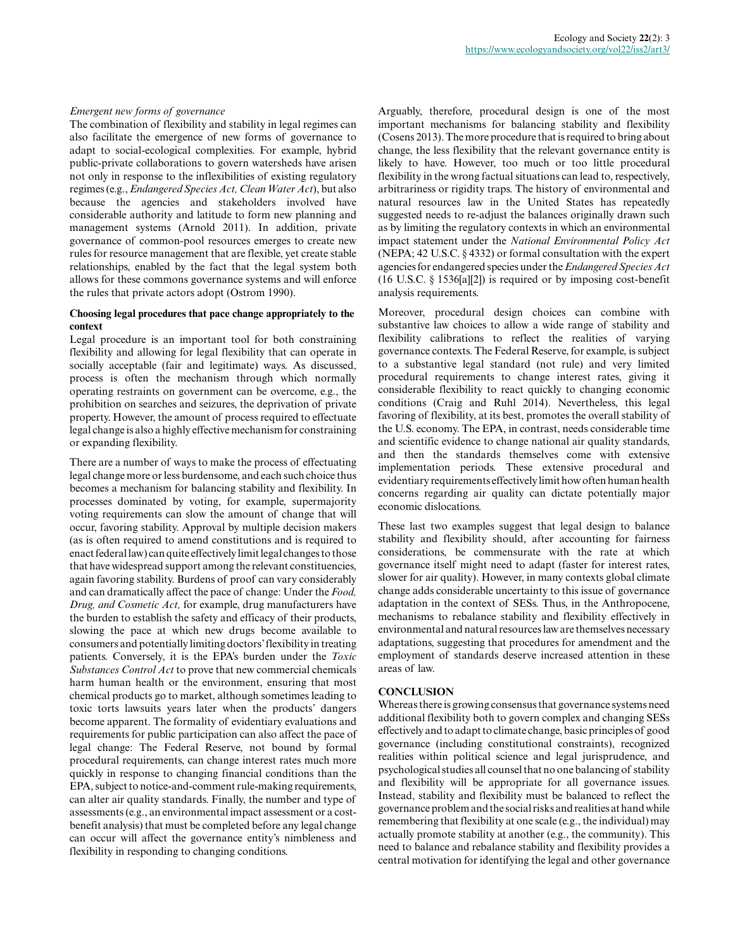## *Emergent new forms of governance*

The combination of flexibility and stability in legal regimes can also facilitate the emergence of new forms of governance to adapt to social-ecological complexities. For example, hybrid public-private collaborations to govern watersheds have arisen not only in response to the inflexibilities of existing regulatory regimes (e.g., *Endangered Species Act, Clean Water Act*), but also because the agencies and stakeholders involved have considerable authority and latitude to form new planning and management systems (Arnold 2011). In addition, private governance of common-pool resources emerges to create new rules for resource management that are flexible, yet create stable relationships, enabled by the fact that the legal system both allows for these commons governance systems and will enforce the rules that private actors adopt (Ostrom 1990).

# **Choosing legal procedures that pace change appropriately to the context**

Legal procedure is an important tool for both constraining flexibility and allowing for legal flexibility that can operate in socially acceptable (fair and legitimate) ways. As discussed, process is often the mechanism through which normally operating restraints on government can be overcome, e.g., the prohibition on searches and seizures, the deprivation of private property. However, the amount of process required to effectuate legal change is also a highly effective mechanism for constraining or expanding flexibility.

There are a number of ways to make the process of effectuating legal change more or less burdensome, and each such choice thus becomes a mechanism for balancing stability and flexibility. In processes dominated by voting, for example, supermajority voting requirements can slow the amount of change that will occur, favoring stability. Approval by multiple decision makers (as is often required to amend constitutions and is required to enact federal law) can quite effectively limit legal changes to those that have widespread support among the relevant constituencies, again favoring stability. Burdens of proof can vary considerably and can dramatically affect the pace of change: Under the *Food, Drug, and Cosmetic Act,* for example, drug manufacturers have the burden to establish the safety and efficacy of their products, slowing the pace at which new drugs become available to consumers and potentially limiting doctors' flexibility in treating patients. Conversely, it is the EPA's burden under the *Toxic Substances Control Act* to prove that new commercial chemicals harm human health or the environment, ensuring that most chemical products go to market, although sometimes leading to toxic torts lawsuits years later when the products' dangers become apparent. The formality of evidentiary evaluations and requirements for public participation can also affect the pace of legal change: The Federal Reserve, not bound by formal procedural requirements, can change interest rates much more quickly in response to changing financial conditions than the EPA, subject to notice-and-comment rule-making requirements, can alter air quality standards. Finally, the number and type of assessments (e.g., an environmental impact assessment or a costbenefit analysis) that must be completed before any legal change can occur will affect the governance entity's nimbleness and flexibility in responding to changing conditions.

Arguably, therefore, procedural design is one of the most important mechanisms for balancing stability and flexibility (Cosens 2013). The more procedure that is required to bring about change, the less flexibility that the relevant governance entity is likely to have. However, too much or too little procedural flexibility in the wrong factual situations can lead to, respectively, arbitrariness or rigidity traps. The history of environmental and natural resources law in the United States has repeatedly suggested needs to re-adjust the balances originally drawn such as by limiting the regulatory contexts in which an environmental impact statement under the *National Environmental Policy Act* (NEPA; 42 U.S.C. § 4332) or formal consultation with the expert agencies for endangered species under the *Endangered Species Act* (16 U.S.C. § 1536[a][2]) is required or by imposing cost-benefit analysis requirements.

Moreover, procedural design choices can combine with substantive law choices to allow a wide range of stability and flexibility calibrations to reflect the realities of varying governance contexts. The Federal Reserve, for example, is subject to a substantive legal standard (not rule) and very limited procedural requirements to change interest rates, giving it considerable flexibility to react quickly to changing economic conditions (Craig and Ruhl 2014). Nevertheless, this legal favoring of flexibility, at its best, promotes the overall stability of the U.S. economy. The EPA, in contrast, needs considerable time and scientific evidence to change national air quality standards, and then the standards themselves come with extensive implementation periods. These extensive procedural and evidentiary requirements effectively limit how often human health concerns regarding air quality can dictate potentially major economic dislocations.

These last two examples suggest that legal design to balance stability and flexibility should, after accounting for fairness considerations, be commensurate with the rate at which governance itself might need to adapt (faster for interest rates, slower for air quality). However, in many contexts global climate change adds considerable uncertainty to this issue of governance adaptation in the context of SESs. Thus, in the Anthropocene, mechanisms to rebalance stability and flexibility effectively in environmental and natural resources law are themselves necessary adaptations, suggesting that procedures for amendment and the employment of standards deserve increased attention in these areas of law.

## **CONCLUSION**

Whereas there is growing consensus that governance systems need additional flexibility both to govern complex and changing SESs effectively and to adapt to climate change, basic principles of good governance (including constitutional constraints), recognized realities within political science and legal jurisprudence, and psychological studies all counsel that no one balancing of stability and flexibility will be appropriate for all governance issues. Instead, stability and flexibility must be balanced to reflect the governance problem and the social risks and realities at hand while remembering that flexibility at one scale (e.g., the individual) may actually promote stability at another (e.g., the community). This need to balance and rebalance stability and flexibility provides a central motivation for identifying the legal and other governance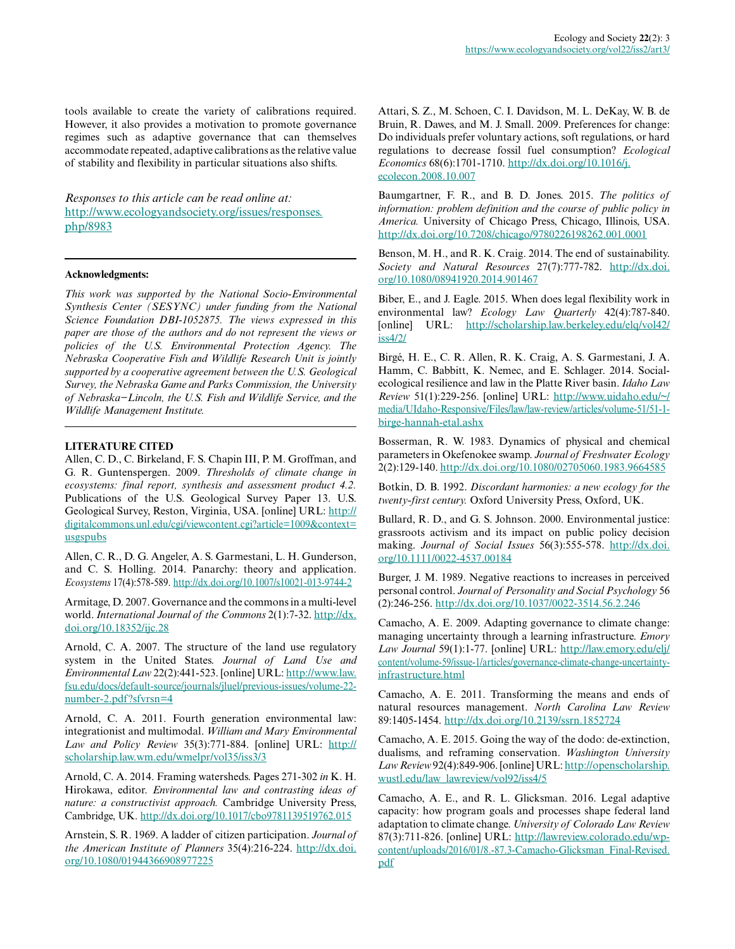tools available to create the variety of calibrations required. However, it also provides a motivation to promote governance regimes such as adaptive governance that can themselves accommodate repeated, adaptive calibrations as the relative value of stability and flexibility in particular situations also shifts.

*Responses to this article can be read online at:* [http://www.ecologyandsociety.org/issues/responses.](http://www.ecologyandsociety.org/issues/responses.php/8983) [php/8983](http://www.ecologyandsociety.org/issues/responses.php/8983)

## **Acknowledgments:**

*This work was supported by the National Socio-Environmental Synthesis Center (SESYNC) under funding from the National Science Foundation DBI-1052875. The views expressed in this paper are those of the authors and do not represent the views or policies of the U.S. Environmental Protection Agency. The Nebraska Cooperative Fish and Wildlife Research Unit is jointly supported by a cooperative agreement between the U.S. Geological Survey, the Nebraska Game and Parks Commission, the University of Nebraska−Lincoln, the U.S. Fish and Wildlife Service, and the Wildlife Management Institute.*

## **LITERATURE CITED**

Allen, C. D., C. Birkeland, F. S. Chapin III, P. M. Groffman, and G. R. Guntenspergen. 2009. *Thresholds of climate change in ecosystems: final report, synthesis and assessment product 4.2.* Publications of the U.S. Geological Survey Paper 13. U.S. Geological Survey, Reston, Virginia, USA. [online] URL: [http://](http://digitalcommons.unl.edu/cgi/viewcontent.cgi?article=1009&context=usgspubs) [digitalcommons.unl.edu/cgi/viewcontent.cgi?article=1009&context=](http://digitalcommons.unl.edu/cgi/viewcontent.cgi?article=1009&context=usgspubs) [usgspubs](http://digitalcommons.unl.edu/cgi/viewcontent.cgi?article=1009&context=usgspubs) 

Allen, C. R., D. G. Angeler, A. S. Garmestani, L. H. Gunderson, and C. S. Holling. 2014. Panarchy: theory and application. *Ecosystems* 17(4):578-589.<http://dx.doi.org/10.1007/s10021-013-9744-2>

Armitage, D. 2007. Governance and the commons in a multi-level world. *International Journal of the Commons* 2(1):7-32. [http://dx.](http://dx.doi.org/10.18352%2Fijc.28) [doi.org/10.18352/ijc.28](http://dx.doi.org/10.18352%2Fijc.28) 

Arnold, C. A. 2007. The structure of the land use regulatory system in the United States. *Journal of Land Use and Environmental Law* 22(2):441-523. [online] URL: [http://www.law.](http://www.law.fsu.edu/docs/default-source/journals/jluel/previous-issues/volume-22-number-2.pdf?sfvrsn=4) [fsu.edu/docs/default-source/journals/jluel/previous-issues/volume-22](http://www.law.fsu.edu/docs/default-source/journals/jluel/previous-issues/volume-22-number-2.pdf?sfvrsn=4) [number-2.pdf?sfvrsn=4](http://www.law.fsu.edu/docs/default-source/journals/jluel/previous-issues/volume-22-number-2.pdf?sfvrsn=4) 

Arnold, C. A. 2011. Fourth generation environmental law: integrationist and multimodal. *William and Mary Environmental Law and Policy Review* 35(3):771-884. [online] URL: [http://](http://scholarship.law.wm.edu/wmelpr/vol35/iss3/3) [scholarship.law.wm.edu/wmelpr/vol35/iss3/3](http://scholarship.law.wm.edu/wmelpr/vol35/iss3/3) 

Arnold, C. A. 2014. Framing watersheds. Pages 271-302 *in* K. H. Hirokawa, editor. *Environmental law and contrasting ideas of nature: a constructivist approach.* Cambridge University Press, Cambridge, UK. <http://dx.doi.org/10.1017/cbo9781139519762.015>

Arnstein, S. R. 1969. A ladder of citizen participation. *Journal of the American Institute of Planners* 35(4):216-224. [http://dx.doi.](http://dx.doi.org/10.1080/01944366908977225) [org/10.1080/01944366908977225](http://dx.doi.org/10.1080/01944366908977225) 

Attari, S. Z., M. Schoen, C. I. Davidson, M. L. DeKay, W. B. de Bruin, R. Dawes, and M. J. Small. 2009. Preferences for change: Do individuals prefer voluntary actions, soft regulations, or hard regulations to decrease fossil fuel consumption? *Ecological Economics* 68(6):1701-1710. [http://dx.doi.org/10.1016/j.](http://dx.doi.org/10.1016/j.ecolecon.2008.10.007) [ecolecon.2008.10.007](http://dx.doi.org/10.1016/j.ecolecon.2008.10.007) 

Baumgartner, F. R., and B. D. Jones. 2015. *The politics of information: problem definition and the course of public policy in America.* University of Chicago Press, Chicago, Illinois, USA. <http://dx.doi.org/10.7208/chicago/9780226198262.001.0001>

Benson, M. H., and R. K. Craig. 2014. The end of sustainability. *Society and Natural Resources* 27(7):777-782. [http://dx.doi.](http://dx.doi.org/10.1080/08941920.2014.901467) [org/10.1080/08941920.2014.901467](http://dx.doi.org/10.1080/08941920.2014.901467)

Biber, E., and J. Eagle. 2015. When does legal flexibility work in environmental law? *Ecology Law Quarterly* 42(4):787-840. [online] URL: [http://scholarship.law.berkeley.edu/elq/vol42/](http://scholarship.law.berkeley.edu/elq/vol42/iss4/2/) [iss4/2/](http://scholarship.law.berkeley.edu/elq/vol42/iss4/2/)

Birgé, H. E., C. R. Allen, R. K. Craig, A. S. Garmestani, J. A. Hamm, C. Babbitt, K. Nemec, and E. Schlager. 2014. Socialecological resilience and law in the Platte River basin. *Idaho Law Review* 51(1):229-256. [online] URL: [http://www.uidaho.edu/~/](http://www.uidaho.edu/~/media/UIdaho-Responsive/Files/law/law-review/articles/volume-51/51-1-birge-hannah-etal.ashx) [media/UIdaho-Responsive/Files/law/law-review/articles/volume-51/51-1](http://www.uidaho.edu/~/media/UIdaho-Responsive/Files/law/law-review/articles/volume-51/51-1-birge-hannah-etal.ashx) [birge-hannah-etal.ashx](http://www.uidaho.edu/~/media/UIdaho-Responsive/Files/law/law-review/articles/volume-51/51-1-birge-hannah-etal.ashx) 

Bosserman, R. W. 1983. Dynamics of physical and chemical parameters in Okefenokee swamp. *Journal of Freshwater Ecology* 2(2):129-140.<http://dx.doi.org/10.1080/02705060.1983.9664585>

Botkin, D. B. 1992. *Discordant harmonies: a new ecology for the twenty-first century.* Oxford University Press, Oxford, UK.

Bullard, R. D., and G. S. Johnson. 2000. Environmental justice: grassroots activism and its impact on public policy decision making. *Journal of Social Issues* 56(3):555-578. [http://dx.doi.](http://dx.doi.org/10.1111/0022-4537.00184) [org/10.1111/0022-4537.00184](http://dx.doi.org/10.1111/0022-4537.00184)

Burger, J. M. 1989. Negative reactions to increases in perceived personal control. *Journal of Personality and Social Psychology* 56 (2):246-256. <http://dx.doi.org/10.1037/0022-3514.56.2.246>

Camacho, A. E. 2009. Adapting governance to climate change: managing uncertainty through a learning infrastructure. *Emory Law Journal* 59(1):1-77. [online] URL: [http://law.emory.edu/elj/](http://law.emory.edu/elj/content/volume-59/issue-1/articles/governance-climate-change-uncertainty-infrastructure.html) [content/volume-59/issue-1/articles/governance-climate-change-uncertainty](http://law.emory.edu/elj/content/volume-59/issue-1/articles/governance-climate-change-uncertainty-infrastructure.html)[infrastructure.html](http://law.emory.edu/elj/content/volume-59/issue-1/articles/governance-climate-change-uncertainty-infrastructure.html)

Camacho, A. E. 2011. Transforming the means and ends of natural resources management. *North Carolina Law Review* 89:1405-1454.<http://dx.doi.org/10.2139/ssrn.1852724>

Camacho, A. E. 2015. Going the way of the dodo: de-extinction, dualisms, and reframing conservation. *Washington University Law Review* 92(4):849-906. [online] URL: [http://openscholarship.](http://openscholarship.wustl.edu/law_lawreview/vol92/iss4/5) [wustl.edu/law\\_lawreview/vol92/iss4/5](http://openscholarship.wustl.edu/law_lawreview/vol92/iss4/5)

Camacho, A. E., and R. L. Glicksman. 2016. Legal adaptive capacity: how program goals and processes shape federal land adaptation to climate change. *University of Colorado Law Review* 87(3):711-826. [online] URL: [http://lawreview.colorado.edu/wp](http://lawreview.colorado.edu/wp-content/uploads/2016/01/8.-87.3-Camacho-Glicksman_Final-Revised.pdf)[content/uploads/2016/01/8.-87.3-Camacho-Glicksman\\_Final-Revised.](http://lawreview.colorado.edu/wp-content/uploads/2016/01/8.-87.3-Camacho-Glicksman_Final-Revised.pdf) [pdf](http://lawreview.colorado.edu/wp-content/uploads/2016/01/8.-87.3-Camacho-Glicksman_Final-Revised.pdf)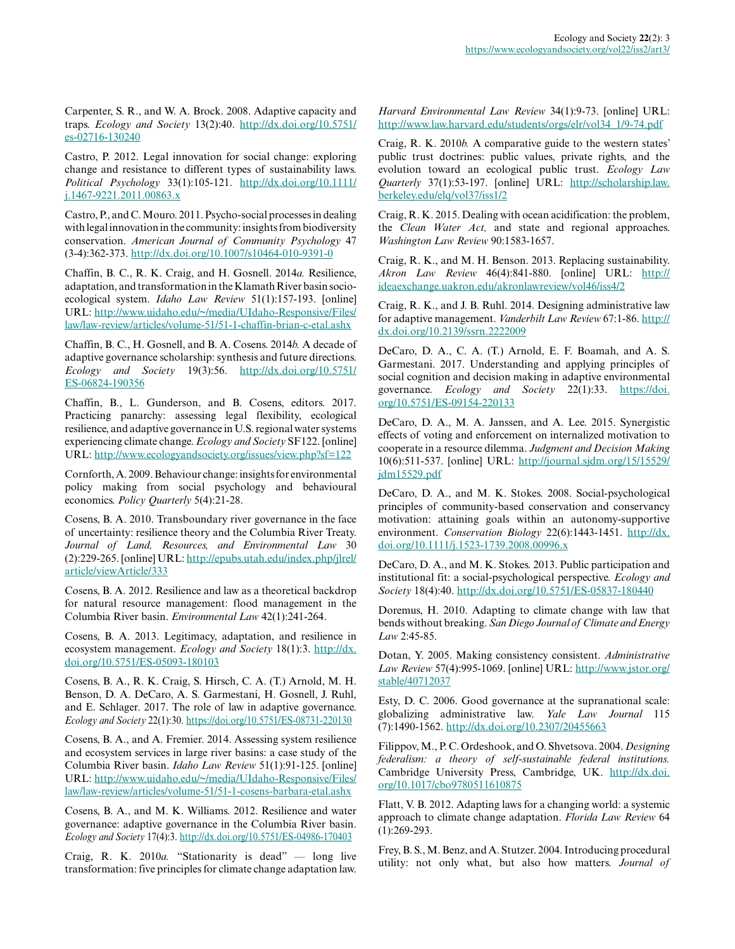Carpenter, S. R., and W. A. Brock. 2008. Adaptive capacity and traps. *Ecology and Society* 13(2):40. [http://dx.doi.org/10.5751/](http://dx.doi.org/10.5751/es-02716-130240) [es-02716-130240](http://dx.doi.org/10.5751/es-02716-130240) 

Castro, P. 2012. Legal innovation for social change: exploring change and resistance to different types of sustainability laws. *Political Psychology* 33(1):105-121. [http://dx.doi.org/10.1111/](http://dx.doi.org/10.1111/j.1467-9221.2011.00863.x) [j.1467-9221.2011.00863.x](http://dx.doi.org/10.1111/j.1467-9221.2011.00863.x)

Castro, P., and C. Mouro. 2011. Psycho-social processes in dealing with legal innovation in the community: insights from biodiversity conservation. *American Journal of Community Psychology* 47 (3-4):362-373.<http://dx.doi.org/10.1007/s10464-010-9391-0>

Chaffin, B. C., R. K. Craig, and H. Gosnell. 2014*a.* Resilience, adaptation, and transformation in the Klamath River basin socioecological system. *Idaho Law Review* 51(1):157-193. [online] URL: [http://www.uidaho.edu/~/media/UIdaho-Responsive/Files/](http://www.uidaho.edu/~/media/UIdaho-Responsive/Files/law/law-review/articles/volume-51/51-1-chaffin-brian-c-etal.ashx) [law/law-review/articles/volume-51/51-1-chaffin-brian-c-etal.ashx](http://www.uidaho.edu/~/media/UIdaho-Responsive/Files/law/law-review/articles/volume-51/51-1-chaffin-brian-c-etal.ashx) 

Chaffin, B. C., H. Gosnell, and B. A. Cosens. 2014*b.* A decade of adaptive governance scholarship: synthesis and future directions. *Ecology and Society* 19(3):56. [http://dx.doi.org/10.5751/](http://dx.doi.org/10.5751/ES-06824-190356) [ES-06824-190356](http://dx.doi.org/10.5751/ES-06824-190356)

Chaffin, B., L. Gunderson, and B. Cosens, editors. 2017. Practicing panarchy: assessing legal flexibility, ecological resilience, and adaptive governance in U.S. regional water systems experiencing climate change. *Ecology and Society* SF122. [online] URL: <http://www.ecologyandsociety.org/issues/view.php?sf=122>

Cornforth, A. 2009. Behaviour change: insights for environmental policy making from social psychology and behavioural economics. *Policy Quarterly* 5(4):21-28.

Cosens, B. A. 2010. Transboundary river governance in the face of uncertainty: resilience theory and the Columbia River Treaty. *Journal of Land, Resources, and Environmental Law* 30 (2):229-265. [online] URL: [http://epubs.utah.edu/index.php/jlrel/](http://epubs.utah.edu/index.php/jlrel/article/viewArticle/333) [article/viewArticle/333](http://epubs.utah.edu/index.php/jlrel/article/viewArticle/333) 

Cosens, B. A. 2012. Resilience and law as a theoretical backdrop for natural resource management: flood management in the Columbia River basin. *Environmental Law* 42(1):241-264.

Cosens, B. A. 2013. Legitimacy, adaptation, and resilience in ecosystem management. *Ecology and Society* 18(1):3. [http://dx.](http://dx.doi.org/10.5751/ES-05093-180103) [doi.org/10.5751/ES-05093-180103](http://dx.doi.org/10.5751/ES-05093-180103)

Cosens, B. A., R. K. Craig, S. Hirsch, C. A. (T.) Arnold, M. H. Benson, D. A. DeCaro, A. S. Garmestani, H. Gosnell, J. Ruhl, and E. Schlager. 2017. The role of law in adaptive governance. *Ecology and Society* 22(1):30.<https://doi.org/10.5751/ES-08731-220130>

Cosens, B. A., and A. Fremier. 2014. Assessing system resilience and ecosystem services in large river basins: a case study of the Columbia River basin. *Idaho Law Review* 51(1):91-125. [online] URL: [http://www.uidaho.edu/~/media/UIdaho-Responsive/Files/](http://www.uidaho.edu/~/media/UIdaho-Responsive/Files/law/law-review/articles/volume-51/51-1-cosens-barbara-etal.ashx) [law/law-review/articles/volume-51/51-1-cosens-barbara-etal.ashx](http://www.uidaho.edu/~/media/UIdaho-Responsive/Files/law/law-review/articles/volume-51/51-1-cosens-barbara-etal.ashx) 

Cosens, B. A., and M. K. Williams. 2012. Resilience and water governance: adaptive governance in the Columbia River basin. *Ecology and Society* 17(4):3. <http://dx.doi.org/10.5751/ES-04986-170403>

Craig, R. K. 2010*a.* "Stationarity is dead" — long live transformation: five principles for climate change adaptation law.

*Harvard Environmental Law Review* 34(1):9-73. [online] URL: [http://www.law.harvard.edu/students/orgs/elr/vol34\\_1/9-74.pdf](http://www.law.harvard.edu/students/orgs/elr/vol34_1/9-74.pdf)

Craig, R. K. 2010*b.* A comparative guide to the western states' public trust doctrines: public values, private rights, and the evolution toward an ecological public trust. *Ecology Law Quarterly* 37(1):53-197. [online] URL: [http://scholarship.law.](http://scholarship.law.berkeley.edu/elq/vol37/iss1/2) [berkeley.edu/elq/vol37/iss1/2](http://scholarship.law.berkeley.edu/elq/vol37/iss1/2) 

Craig, R. K. 2015. Dealing with ocean acidification: the problem, the *Clean Water Act,* and state and regional approaches. *Washington Law Review* 90:1583-1657.

Craig, R. K., and M. H. Benson. 2013. Replacing sustainability. *Akron Law Review* 46(4):841-880. [online] URL: [http://](http://ideaexchange.uakron.edu/akronlawreview/vol46/iss4/2) [ideaexchange.uakron.edu/akronlawreview/vol46/iss4/2](http://ideaexchange.uakron.edu/akronlawreview/vol46/iss4/2) 

Craig, R. K., and J. B. Ruhl. 2014. Designing administrative law for adaptive management. *Vanderbilt Law Review* 67:1-86. [http://](http://dx.doi.org/10.2139/ssrn.2222009) [dx.doi.org/10.2139/ssrn.2222009](http://dx.doi.org/10.2139/ssrn.2222009)

DeCaro, D. A., C. A. (T.) Arnold, E. F. Boamah, and A. S. Garmestani. 2017. Understanding and applying principles of social cognition and decision making in adaptive environmental governance. *Ecology and Society* 22(1):33. [https://doi.](https://doi.org/10.5751/ES-09154-220133) [org/10.5751/ES-09154-220133](https://doi.org/10.5751/ES-09154-220133) 

DeCaro, D. A., M. A. Janssen, and A. Lee. 2015. Synergistic effects of voting and enforcement on internalized motivation to cooperate in a resource dilemma. *Judgment and Decision Making* 10(6):511-537. [online] URL: [http://journal.sjdm.org/15/15529/](http://journal.sjdm.org/15/15529/jdm15529.pdf) [jdm15529.pdf](http://journal.sjdm.org/15/15529/jdm15529.pdf)

DeCaro, D. A., and M. K. Stokes. 2008. Social-psychological principles of community-based conservation and conservancy motivation: attaining goals within an autonomy-supportive environment. *Conservation Biology* 22(6):1443-1451. [http://dx.](http://dx.doi.org/10.1111/j.1523-1739.2008.00996.x) [doi.org/10.1111/j.1523-1739.2008.00996.x](http://dx.doi.org/10.1111/j.1523-1739.2008.00996.x)

DeCaro, D. A., and M. K. Stokes. 2013. Public participation and institutional fit: a social-psychological perspective. *Ecology and Society* 18(4):40. <http://dx.doi.org/10.5751/ES-05837-180440>

Doremus, H. 2010. Adapting to climate change with law that bends without breaking. *San Diego Journal of Climate and Energy Law* 2:45-85.

Dotan, Y. 2005. Making consistency consistent. *Administrative Law Review* 57(4):995-1069. [online] URL: [http://www.jstor.org/](http://www.jstor.org/stable/40712037) [stable/40712037](http://www.jstor.org/stable/40712037)

Esty, D. C. 2006. Good governance at the supranational scale: globalizing administrative law. *Yale Law Journal* 115 (7):1490-1562. <http://dx.doi.org/10.2307/20455663>

Filippov, M., P. C. Ordeshook, and O. Shvetsova. 2004. *Designing federalism: a theory of self-sustainable federal institutions.* Cambridge University Press, Cambridge, UK. [http://dx.doi.](http://dx.doi.org/10.1017/cbo9780511610875) [org/10.1017/cbo9780511610875](http://dx.doi.org/10.1017/cbo9780511610875) 

Flatt, V. B. 2012. Adapting laws for a changing world: a systemic approach to climate change adaptation. *Florida Law Review* 64 (1):269-293.

Frey, B. S., M. Benz, and A. Stutzer. 2004. Introducing procedural utility: not only what, but also how matters. *Journal of*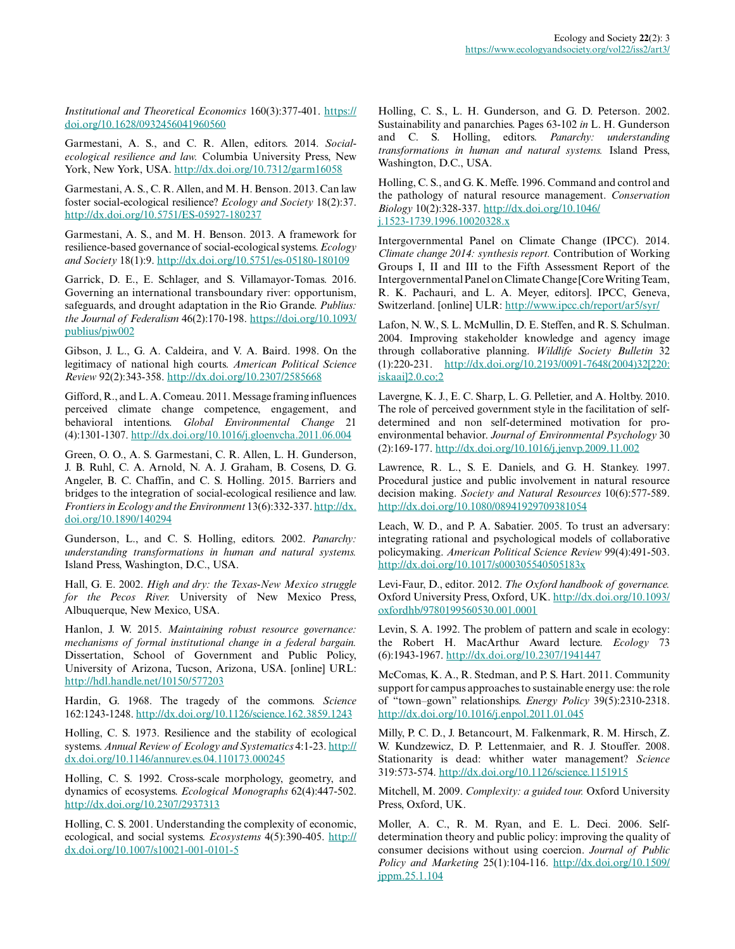*Institutional and Theoretical Economics* 160(3):377-401. [https://](https://doi.org/10.1628/0932456041960560) [doi.org/10.1628/0932456041960560](https://doi.org/10.1628/0932456041960560)

Garmestani, A. S., and C. R. Allen, editors. 2014. *Socialecological resilience and law.* Columbia University Press, New York, New York, USA.<http://dx.doi.org/10.7312/garm16058>

Garmestani, A. S., C. R. Allen, and M. H. Benson. 2013. Can law foster social-ecological resilience? *Ecology and Society* 18(2):37. <http://dx.doi.org/10.5751/ES-05927-180237>

Garmestani, A. S., and M. H. Benson. 2013. A framework for resilience-based governance of social-ecological systems. *Ecology and Society* 18(1):9. <http://dx.doi.org/10.5751/es-05180-180109>

Garrick, D. E., E. Schlager, and S. Villamayor-Tomas. 2016. Governing an international transboundary river: opportunism, safeguards, and drought adaptation in the Rio Grande. *Publius: the Journal of Federalism* 46(2):170-198. [https://doi.org/10.1093/](https://doi.org/10.1093/publius/pjw002) [publius/pjw002](https://doi.org/10.1093/publius/pjw002) 

Gibson, J. L., G. A. Caldeira, and V. A. Baird. 1998. On the legitimacy of national high courts. *American Political Science Review* 92(2):343-358.<http://dx.doi.org/10.2307/2585668>

Gifford, R., and L. A. Comeau. 2011. Message framing influences perceived climate change competence, engagement, and behavioral intentions. *Global Environmental Change* 21 (4):1301-1307.<http://dx.doi.org/10.1016/j.gloenvcha.2011.06.004>

Green, O. O., A. S. Garmestani, C. R. Allen, L. H. Gunderson, J. B. Ruhl, C. A. Arnold, N. A. J. Graham, B. Cosens, D. G. Angeler, B. C. Chaffin, and C. S. Holling. 2015. Barriers and bridges to the integration of social-ecological resilience and law. *Frontiers in Ecology and the Environment* 13(6):332-337. [http://dx.](http://dx.doi.org/10.1890/140294) [doi.org/10.1890/140294](http://dx.doi.org/10.1890/140294)

Gunderson, L., and C. S. Holling, editors. 2002. *Panarchy: understanding transformations in human and natural systems.* Island Press, Washington, D.C., USA.

Hall, G. E. 2002. *High and dry: the Texas-New Mexico struggle for the Pecos River.* University of New Mexico Press, Albuquerque, New Mexico, USA.

Hanlon, J. W. 2015. *Maintaining robust resource governance: mechanisms of formal institutional change in a federal bargain.* Dissertation, School of Government and Public Policy, University of Arizona, Tucson, Arizona, USA. [online] URL: <http://hdl.handle.net/10150/577203>

Hardin, G. 1968. The tragedy of the commons. *Science* 162:1243-1248.<http://dx.doi.org/10.1126/science.162.3859.1243>

Holling, C. S. 1973. Resilience and the stability of ecological systems. *Annual Review of Ecology and Systematics* 4:1-23. [http://](http://dx.doi.org/10.1146/annurev.es.04.110173.000245) [dx.doi.org/10.1146/annurev.es.04.110173.000245](http://dx.doi.org/10.1146/annurev.es.04.110173.000245)

Holling, C. S. 1992. Cross-scale morphology, geometry, and dynamics of ecosystems. *Ecological Monographs* 62(4):447-502. <http://dx.doi.org/10.2307/2937313>

Holling, C. S. 2001. Understanding the complexity of economic, ecological, and social systems. *Ecosystems* 4(5):390-405. [http://](http://dx.doi.org/10.1007/s10021-001-0101-5) [dx.doi.org/10.1007/s10021-001-0101-5](http://dx.doi.org/10.1007/s10021-001-0101-5) 

Holling, C. S., L. H. Gunderson, and G. D. Peterson. 2002. Sustainability and panarchies. Pages 63-102 *in* L. H. Gunderson and C. S. Holling, editors. *Panarchy: understanding transformations in human and natural systems.* Island Press, Washington, D.C., USA.

Holling, C. S., and G. K. Meffe. 1996. Command and control and the pathology of natural resource management. *Conservation Biology* 10(2):328-337. [http://dx.doi.org/10.1046/](http://dx.doi.org/10.1046/j.1523-1739.1996.10020328.x) [j.1523-1739.1996.10020328.x](http://dx.doi.org/10.1046/j.1523-1739.1996.10020328.x) 

Intergovernmental Panel on Climate Change (IPCC). 2014. *Climate change 2014: synthesis report.* Contribution of Working Groups I, II and III to the Fifth Assessment Report of the Intergovernmental Panel on Climate Change [Core Writing Team, R. K. Pachauri, and L. A. Meyer, editors]. IPCC, Geneva, Switzerland. [online] ULR: <http://www.ipcc.ch/report/ar5/syr/>

Lafon, N. W., S. L. McMullin, D. E. Steffen, and R. S. Schulman. 2004. Improving stakeholder knowledge and agency image through collaborative planning. *Wildlife Society Bulletin* 32 (1):220-231. [http://dx.doi.org/10.2193/0091-7648\(2004\)32\[220:](http://dx.doi.org/10.2193/0091-7648%282004%2932%5B220%3Aiskaai%5D2.0.co%3B2) [iskaai\]2.0.co;2](http://dx.doi.org/10.2193/0091-7648%282004%2932%5B220%3Aiskaai%5D2.0.co%3B2)

Lavergne, K. J., E. C. Sharp, L. G. Pelletier, and A. Holtby. 2010. The role of perceived government style in the facilitation of selfdetermined and non self-determined motivation for proenvironmental behavior. *Journal of Environmental Psychology* 30 (2):169-177. <http://dx.doi.org/10.1016/j.jenvp.2009.11.002>

Lawrence, R. L., S. E. Daniels, and G. H. Stankey. 1997. Procedural justice and public involvement in natural resource decision making. *Society and Natural Resources* 10(6):577-589. <http://dx.doi.org/10.1080/08941929709381054>

Leach, W. D., and P. A. Sabatier. 2005. To trust an adversary: integrating rational and psychological models of collaborative policymaking. *American Political Science Review* 99(4):491-503. <http://dx.doi.org/10.1017/s000305540505183x>

Levi-Faur, D., editor. 2012. *The Oxford handbook of governance.* Oxford University Press, Oxford, UK. [http://dx.doi.org/10.1093/](http://dx.doi.org/10.1093/oxfordhb/9780199560530.001.0001) [oxfordhb/9780199560530.001.0001](http://dx.doi.org/10.1093/oxfordhb/9780199560530.001.0001)

Levin, S. A. 1992. The problem of pattern and scale in ecology: the Robert H. MacArthur Award lecture. *Ecology* 73 (6):1943-1967. <http://dx.doi.org/10.2307/1941447>

McComas, K. A., R. Stedman, and P. S. Hart. 2011. Community support for campus approaches to sustainable energy use: the role of "town–gown" relationships. *Energy Policy* 39(5):2310-2318. <http://dx.doi.org/10.1016/j.enpol.2011.01.045>

Milly, P. C. D., J. Betancourt, M. Falkenmark, R. M. Hirsch, Z. W. Kundzewicz, D. P. Lettenmaier, and R. J. Stouffer. 2008. Stationarity is dead: whither water management? *Science* 319:573-574. <http://dx.doi.org/10.1126/science.1151915>

Mitchell, M. 2009. *Complexity: a guided tour.* Oxford University Press, Oxford, UK.

Moller, A. C., R. M. Ryan, and E. L. Deci. 2006. Selfdetermination theory and public policy: improving the quality of consumer decisions without using coercion. *Journal of Public Policy and Marketing* 25(1):104-116. [http://dx.doi.org/10.1509/](http://dx.doi.org/10.1509/jppm.25.1.104) [jppm.25.1.104](http://dx.doi.org/10.1509/jppm.25.1.104)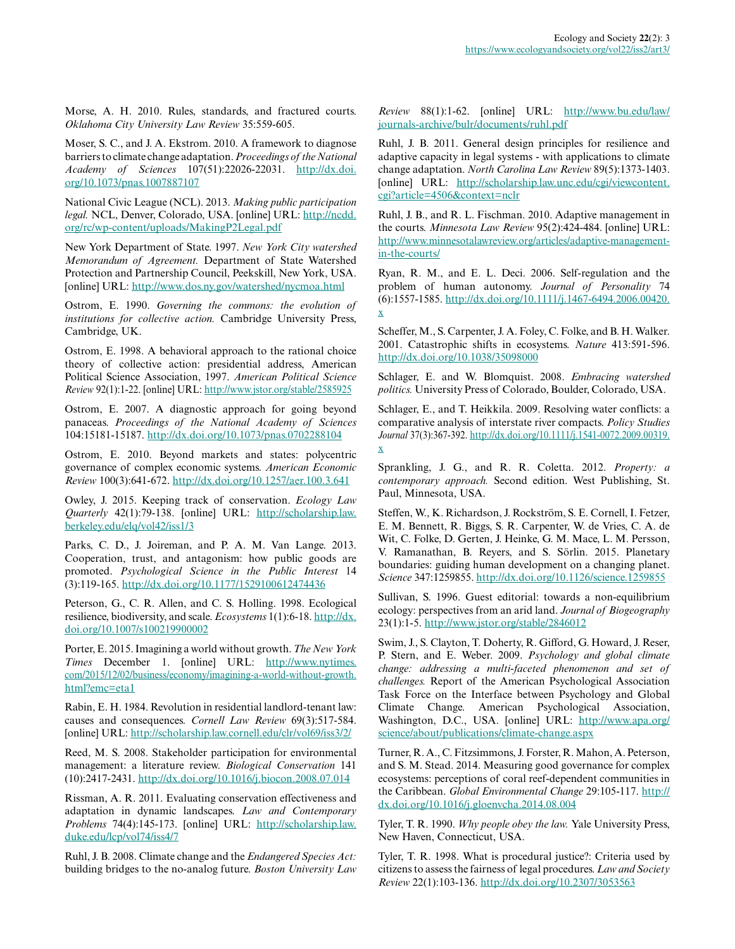Morse, A. H. 2010. Rules, standards, and fractured courts. *Oklahoma City University Law Review* 35:559-605.

Moser, S. C., and J. A. Ekstrom. 2010. A framework to diagnose barriers to climate change adaptation. *Proceedings of the National Academy of Sciences* 107(51):22026-22031. [http://dx.doi.](http://dx.doi.org/10.1073/pnas.1007887107) [org/10.1073/pnas.1007887107](http://dx.doi.org/10.1073/pnas.1007887107) 

National Civic League (NCL). 2013. *Making public participation legal.* NCL, Denver, Colorado, USA. [online] URL: [http://ncdd.](http://ncdd.org/rc/wp-content/uploads/MakingP2Legal.pdf) [org/rc/wp-content/uploads/MakingP2Legal.pdf](http://ncdd.org/rc/wp-content/uploads/MakingP2Legal.pdf)

New York Department of State. 1997. *New York City watershed Memorandum of Agreement.* Department of State Watershed Protection and Partnership Council, Peekskill, New York, USA. [online] URL: <http://www.dos.ny.gov/watershed/nycmoa.html>

Ostrom, E. 1990. *Governing the commons: the evolution of institutions for collective action.* Cambridge University Press, Cambridge, UK.

Ostrom, E. 1998. A behavioral approach to the rational choice theory of collective action: presidential address, American Political Science Association, 1997. *American Political Science Review* 92(1):1-22. [online] URL:<http://www.jstor.org/stable/2585925>

Ostrom, E. 2007. A diagnostic approach for going beyond panaceas. *Proceedings of the National Academy of Sciences* 104:15181-15187. <http://dx.doi.org/10.1073/pnas.0702288104>

Ostrom, E. 2010. Beyond markets and states: polycentric governance of complex economic systems. *American Economic Review* 100(3):641-672. <http://dx.doi.org/10.1257/aer.100.3.641>

Owley, J. 2015. Keeping track of conservation. *Ecology Law Quarterly* 42(1):79-138. [online] URL: [http://scholarship.law.](http://scholarship.law.berkeley.edu/elq/vol42/iss1/3) [berkeley.edu/elq/vol42/iss1/3](http://scholarship.law.berkeley.edu/elq/vol42/iss1/3) 

Parks, C. D., J. Joireman, and P. A. M. Van Lange. 2013. Cooperation, trust, and antagonism: how public goods are promoted. *Psychological Science in the Public Interest* 14 (3):119-165. <http://dx.doi.org/10.1177/1529100612474436>

Peterson, G., C. R. Allen, and C. S. Holling. 1998. Ecological resilience, biodiversity, and scale. *Ecosystems* 1(1):6-18. [http://dx.](http://dx.doi.org/10.1007/s100219900002) [doi.org/10.1007/s100219900002](http://dx.doi.org/10.1007/s100219900002)

Porter, E. 2015. Imagining a world without growth. *The New York Times* December 1. [online] URL: [http://www.nytimes.](http://www.nytimes.com/2015/12/02/business/economy/imagining-a-world-without-growth.html?emc=eta1) [com/2015/12/02/business/economy/imagining-a-world-without-growth.](http://www.nytimes.com/2015/12/02/business/economy/imagining-a-world-without-growth.html?emc=eta1) [html?emc=eta1](http://www.nytimes.com/2015/12/02/business/economy/imagining-a-world-without-growth.html?emc=eta1) 

Rabin, E. H. 1984. Revolution in residential landlord-tenant law: causes and consequences. *Cornell Law Review* 69(3):517-584. [online] URL: <http://scholarship.law.cornell.edu/clr/vol69/iss3/2/>

Reed, M. S. 2008. Stakeholder participation for environmental management: a literature review. *Biological Conservation* 141 (10):2417-2431.<http://dx.doi.org/10.1016/j.biocon.2008.07.014>

Rissman, A. R. 2011. Evaluating conservation effectiveness and adaptation in dynamic landscapes. *Law and Contemporary Problems* 74(4):145-173. [online] URL: [http://scholarship.law.](http://scholarship.law.duke.edu/lcp/vol74/iss4/7) [duke.edu/lcp/vol74/iss4/7](http://scholarship.law.duke.edu/lcp/vol74/iss4/7) 

Ruhl, J. B. 2008. Climate change and the *Endangered Species Act:* building bridges to the no-analog future. *Boston University Law*

*Review* 88(1):1-62. [online] URL: [http://www.bu.edu/law/](http://www.bu.edu/law/journals-archive/bulr/documents/ruhl.pdf) [journals-archive/bulr/documents/ruhl.pdf](http://www.bu.edu/law/journals-archive/bulr/documents/ruhl.pdf)

Ruhl, J. B. 2011. General design principles for resilience and adaptive capacity in legal systems - with applications to climate change adaptation. *North Carolina Law Review* 89(5):1373-1403. [online] URL: [http://scholarship.law.unc.edu/cgi/viewcontent.](http://scholarship.law.unc.edu/cgi/viewcontent.cgi?article=4506&context=nclr) [cgi?article=4506&context=nclr](http://scholarship.law.unc.edu/cgi/viewcontent.cgi?article=4506&context=nclr)

Ruhl, J. B., and R. L. Fischman. 2010. Adaptive management in the courts. *Minnesota Law Review* 95(2):424-484. [online] URL: [http://www.minnesotalawreview.org/articles/adaptive-management](http://www.minnesotalawreview.org/articles/adaptive-management-in-the-courts/)[in-the-courts/](http://www.minnesotalawreview.org/articles/adaptive-management-in-the-courts/) 

Ryan, R. M., and E. L. Deci. 2006. Self-regulation and the problem of human autonomy. *Journal of Personality* 74 (6):1557-1585. [http://dx.doi.org/10.1111/j.1467-6494.2006.00420.](http://dx.doi.org/10.1111/j.1467-6494.2006.00420.x) [x](http://dx.doi.org/10.1111/j.1467-6494.2006.00420.x) 

Scheffer, M., S. Carpenter, J. A. Foley, C. Folke, and B. H. Walker. 2001. Catastrophic shifts in ecosystems. *Nature* 413:591-596. <http://dx.doi.org/10.1038/35098000>

Schlager, E. and W. Blomquist. 2008. *Embracing watershed politics.* University Press of Colorado, Boulder, Colorado, USA.

Schlager, E., and T. Heikkila. 2009. Resolving water conflicts: a comparative analysis of interstate river compacts. *Policy Studies Journal* 37(3):367-392. [http://dx.doi.org/10.1111/j.1541-0072.2009.00319.](http://dx.doi.org/10.1111/j.1541-0072.2009.00319.x) [x](http://dx.doi.org/10.1111/j.1541-0072.2009.00319.x) 

Sprankling, J. G., and R. R. Coletta. 2012. *Property: a contemporary approach.* Second edition. West Publishing, St. Paul, Minnesota, USA.

Steffen, W., K. Richardson, J. Rockström, S. E. Cornell, I. Fetzer, E. M. Bennett, R. Biggs, S. R. Carpenter, W. de Vries, C. A. de Wit, C. Folke, D. Gerten, J. Heinke, G. M. Mace, L. M. Persson, V. Ramanathan, B. Reyers, and S. Sörlin. 2015. Planetary boundaries: guiding human development on a changing planet. *Science* 347:1259855.<http://dx.doi.org/10.1126/science.1259855>

Sullivan, S. 1996. Guest editorial: towards a non-equilibrium ecology: perspectives from an arid land. *Journal of Biogeography* 23(1):1-5. <http://www.jstor.org/stable/2846012>

Swim, J., S. Clayton, T. Doherty, R. Gifford, G. Howard, J. Reser, P. Stern, and E. Weber. 2009. *Psychology and global climate change: addressing a multi-faceted phenomenon and set of challenges.* Report of the American Psychological Association Task Force on the Interface between Psychology and Global Climate Change. American Psychological Association, Washington, D.C., USA. [online] URL: [http://www.apa.org/](http://www.apa.org/science/about/publications/climate-change.aspx) [science/about/publications/climate-change.aspx](http://www.apa.org/science/about/publications/climate-change.aspx)

Turner, R. A., C. Fitzsimmons, J. Forster, R. Mahon, A. Peterson, and S. M. Stead. 2014. Measuring good governance for complex ecosystems: perceptions of coral reef-dependent communities in the Caribbean. *Global Environmental Change* 29:105-117. [http://](http://dx.doi.org/10.1016/j.gloenvcha.2014.08.004) [dx.doi.org/10.1016/j.gloenvcha.2014.08.004](http://dx.doi.org/10.1016/j.gloenvcha.2014.08.004) 

Tyler, T. R. 1990. *Why people obey the law.* Yale University Press, New Haven, Connecticut, USA.

Tyler, T. R. 1998. What is procedural justice?: Criteria used by citizens to assess the fairness of legal procedures. *Law and Society Review* 22(1):103-136.<http://dx.doi.org/10.2307/3053563>